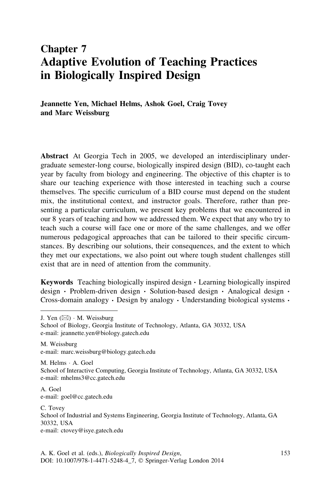# Chapter 7 Adaptive Evolution of Teaching Practices in Biologically Inspired Design

Jeannette Yen, Michael Helms, Ashok Goel, Craig Tovey and Marc Weissburg

Abstract At Georgia Tech in 2005, we developed an interdisciplinary undergraduate semester-long course, biologically inspired design (BID), co-taught each year by faculty from biology and engineering. The objective of this chapter is to share our teaching experience with those interested in teaching such a course themselves. The specific curriculum of a BID course must depend on the student mix, the institutional context, and instructor goals. Therefore, rather than presenting a particular curriculum, we present key problems that we encountered in our 8 years of teaching and how we addressed them. We expect that any who try to teach such a course will face one or more of the same challenges, and we offer numerous pedagogical approaches that can be tailored to their specific circumstances. By describing our solutions, their consequences, and the extent to which they met our expectations, we also point out where tough student challenges still exist that are in need of attention from the community.

Keywords Teaching biologically inspired design - Learning biologically inspired design - Problem-driven design - Solution-based design - Analogical design -Cross-domain analogy - Design by analogy - Understanding biological systems -

J. Yen  $(\boxtimes) \cdot$  M. Weissburg

M. Weissburg e-mail: marc.weissburg@biology.gatech.edu

M. Helms - A. Goel School of Interactive Computing, Georgia Institute of Technology, Atlanta, GA 30332, USA e-mail: mhelms3@cc.gatech.edu

A. Goel e-mail: goel@cc.gatech.edu

C. Tovey School of Industrial and Systems Engineering, Georgia Institute of Technology, Atlanta, GA 30332, USA e-mail: ctovey@isye.gatech.edu

School of Biology, Georgia Institute of Technology, Atlanta, GA 30332, USA e-mail: jeannette.yen@biology.gatech.edu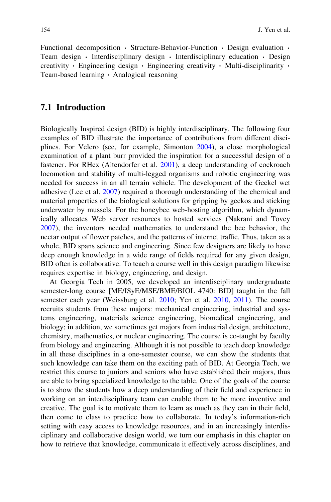Functional decomposition · Structure-Behavior-Function · Design evaluation · Team design · Interdisciplinary design · Interdisciplinary education · Design creativity - Engineering design - Engineering creativity - Multi-disciplinarity -Team-based learning - Analogical reasoning

#### 7.1 Introduction

Biologically Inspired design (BID) is highly interdisciplinary. The following four examples of BID illustrate the importance of contributions from different disciplines. For Velcro (see, for example, Simonton [2004](#page-45-0)), a close morphological examination of a plant burr provided the inspiration for a successful design of a fastener. For RHex (Altendorfer et al. [2001\)](#page-43-0), a deep understanding of cockroach locomotion and stability of multi-legged organisms and robotic engineering was needed for success in an all terrain vehicle. The development of the Geckel wet adhesive (Lee et al. [2007](#page-44-0)) required a thorough understanding of the chemical and material properties of the biological solutions for gripping by geckos and sticking underwater by mussels. For the honeybee web-hosting algorithm, which dynamically allocates Web server resources to hosted services (Nakrani and Tovey [2007\)](#page-45-0), the inventors needed mathematics to understand the bee behavior, the nectar output of flower patches, and the patterns of internet traffic. Thus, taken as a whole, BID spans science and engineering. Since few designers are likely to have deep enough knowledge in a wide range of fields required for any given design, BID often is collaborative. To teach a course well in this design paradigm likewise requires expertise in biology, engineering, and design.

At Georgia Tech in 2005, we developed an interdisciplinary undergraduate semester-long course [ME/ISyE/MSE/BME/BIOL 4740: BID] taught in the fall semester each year (Weissburg et al. [2010](#page-46-0); Yen et al. [2010,](#page-46-0) [2011](#page-46-0)). The course recruits students from these majors: mechanical engineering, industrial and systems engineering, materials science engineering, biomedical engineering, and biology; in addition, we sometimes get majors from industrial design, architecture, chemistry, mathematics, or nuclear engineering. The course is co-taught by faculty from biology and engineering. Although it is not possible to teach deep knowledge in all these disciplines in a one-semester course, we can show the students that such knowledge can take them on the exciting path of BID. At Georgia Tech, we restrict this course to juniors and seniors who have established their majors, thus are able to bring specialized knowledge to the table. One of the goals of the course is to show the students how a deep understanding of their field and experience in working on an interdisciplinary team can enable them to be more inventive and creative. The goal is to motivate them to learn as much as they can in their field, then come to class to practice how to collaborate. In today's information-rich setting with easy access to knowledge resources, and in an increasingly interdisciplinary and collaborative design world, we turn our emphasis in this chapter on how to retrieve that knowledge, communicate it effectively across disciplines, and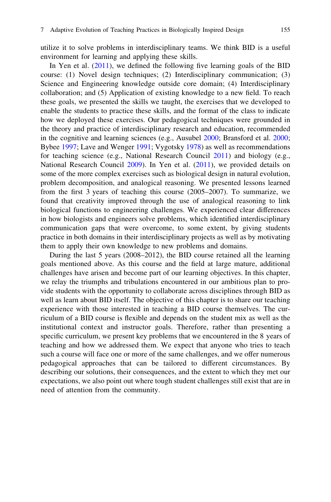utilize it to solve problems in interdisciplinary teams. We think BID is a useful environment for learning and applying these skills.

In Yen et al.  $(2011)$  $(2011)$ , we defined the following five learning goals of the BID course: (1) Novel design techniques; (2) Interdisciplinary communication; (3) Science and Engineering knowledge outside core domain; (4) Interdisciplinary collaboration; and (5) Application of existing knowledge to a new field. To reach these goals, we presented the skills we taught, the exercises that we developed to enable the students to practice these skills, and the format of the class to indicate how we deployed these exercises. Our pedagogical techniques were grounded in the theory and practice of interdisciplinary research and education, recommended in the cognitive and learning sciences (e.g., Ausubel [2000](#page-43-0); Bransford et al. [2000;](#page-43-0) Bybee [1997;](#page-43-0) Lave and Wenger [1991;](#page-44-0) Vygotsky [1978](#page-46-0)) as well as recommendations for teaching science (e.g., National Research Council [2011](#page-45-0)) and biology (e.g., National Research Council [2009\)](#page-45-0). In Yen et al. [\(2011](#page-46-0)), we provided details on some of the more complex exercises such as biological design in natural evolution, problem decomposition, and analogical reasoning. We presented lessons learned from the first 3 years of teaching this course (2005–2007). To summarize, we found that creativity improved through the use of analogical reasoning to link biological functions to engineering challenges. We experienced clear differences in how biologists and engineers solve problems, which identified interdisciplinary communication gaps that were overcome, to some extent, by giving students practice in both domains in their interdisciplinary projects as well as by motivating them to apply their own knowledge to new problems and domains.

During the last 5 years (2008–2012), the BID course retained all the learning goals mentioned above. As this course and the field at large mature, additional challenges have arisen and become part of our learning objectives. In this chapter, we relay the triumphs and tribulations encountered in our ambitious plan to provide students with the opportunity to collaborate across disciplines through BID as well as learn about BID itself. The objective of this chapter is to share our teaching experience with those interested in teaching a BID course themselves. The curriculum of a BID course is flexible and depends on the student mix as well as the institutional context and instructor goals. Therefore, rather than presenting a specific curriculum, we present key problems that we encountered in the 8 years of teaching and how we addressed them. We expect that anyone who tries to teach such a course will face one or more of the same challenges, and we offer numerous pedagogical approaches that can be tailored to different circumstances. By describing our solutions, their consequences, and the extent to which they met our expectations, we also point out where tough student challenges still exist that are in need of attention from the community.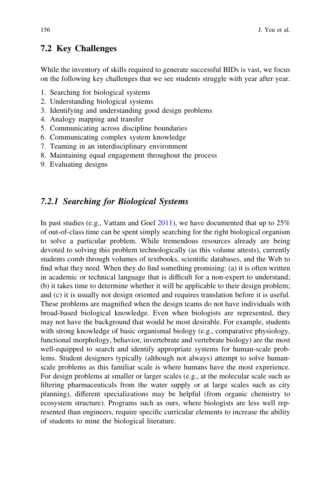# 7.2 Key Challenges

While the inventory of skills required to generate successful BIDs is vast, we focus on the following key challenges that we see students struggle with year after year.

- 1. Searching for biological systems
- 2. Understanding biological systems
- 3. Identifying and understanding good design problems
- 4. Analogy mapping and transfer
- 5. Communicating across discipline boundaries
- 6. Communicating complex system knowledge
- 7. Teaming in an interdisciplinary environment
- 8. Maintaining equal engagement throughout the process
- 9. Evaluating designs

## 7.2.1 Searching for Biological Systems

In past studies (e.g., Vattam and Goel [2011](#page-45-0)), we have documented that up to 25% of out-of-class time can be spent simply searching for the right biological organism to solve a particular problem. While tremendous resources already are being devoted to solving this problem technologically (as this volume attests), currently students comb through volumes of textbooks, scientific databases, and the Web to find what they need. When they do find something promising: (a) it is often written in academic or technical language that is difficult for a non-expert to understand; (b) it takes time to determine whether it will be applicable to their design problem; and (c) it is usually not design oriented and requires translation before it is useful. These problems are magnified when the design teams do not have individuals with broad-based biological knowledge. Even when biologists are represented, they may not have the background that would be most desirable. For example, students with strong knowledge of basic organismal biology (e.g., comparative physiology, functional morphology, behavior, invertebrate and vertebrate biology) are the most well-equipped to search and identify appropriate systems for human-scale problems. Student designers typically (although not always) attempt to solve humanscale problems as this familiar scale is where humans have the most experience. For design problems at smaller or larger scales (e.g., at the molecular scale such as filtering pharmaceuticals from the water supply or at large scales such as city planning), different specializations may be helpful (from organic chemistry to ecosystem structure). Programs such as ours, where biologists are less well represented than engineers, require specific curricular elements to increase the ability of students to mine the biological literature.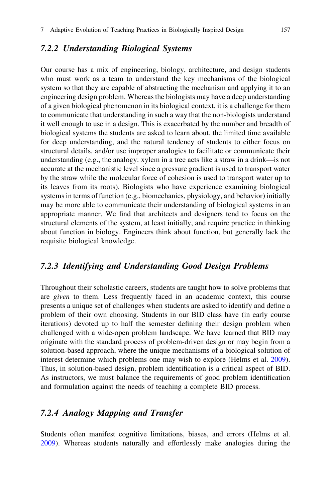## 7.2.2 Understanding Biological Systems

Our course has a mix of engineering, biology, architecture, and design students who must work as a team to understand the key mechanisms of the biological system so that they are capable of abstracting the mechanism and applying it to an engineering design problem. Whereas the biologists may have a deep understanding of a given biological phenomenon in its biological context, it is a challenge for them to communicate that understanding in such a way that the non-biologists understand it well enough to use in a design. This is exacerbated by the number and breadth of biological systems the students are asked to learn about, the limited time available for deep understanding, and the natural tendency of students to either focus on structural details, and/or use improper analogies to facilitate or communicate their understanding (e.g., the analogy: xylem in a tree acts like a straw in a drink—is not accurate at the mechanistic level since a pressure gradient is used to transport water by the straw while the molecular force of cohesion is used to transport water up to its leaves from its roots). Biologists who have experience examining biological systems in terms of function (e.g., biomechanics, physiology, and behavior) initially may be more able to communicate their understanding of biological systems in an appropriate manner. We find that architects and designers tend to focus on the structural elements of the system, at least initially, and require practice in thinking about function in biology. Engineers think about function, but generally lack the requisite biological knowledge.

## 7.2.3 Identifying and Understanding Good Design Problems

Throughout their scholastic careers, students are taught how to solve problems that are given to them. Less frequently faced in an academic context, this course presents a unique set of challenges when students are asked to identify and define a problem of their own choosing. Students in our BID class have (in early course iterations) devoted up to half the semester defining their design problem when challenged with a wide-open problem landscape. We have learned that BID may originate with the standard process of problem-driven design or may begin from a solution-based approach, where the unique mechanisms of a biological solution of interest determine which problems one may wish to explore (Helms et al. [2009\)](#page-44-0). Thus, in solution-based design, problem identification is a critical aspect of BID. As instructors, we must balance the requirements of good problem identification and formulation against the needs of teaching a complete BID process.

# 7.2.4 Analogy Mapping and Transfer

Students often manifest cognitive limitations, biases, and errors (Helms et al. [2009\)](#page-44-0). Whereas students naturally and effortlessly make analogies during the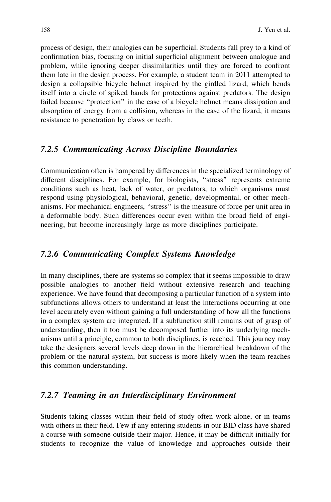process of design, their analogies can be superficial. Students fall prey to a kind of confirmation bias, focusing on initial superficial alignment between analogue and problem, while ignoring deeper dissimilarities until they are forced to confront them late in the design process. For example, a student team in 2011 attempted to design a collapsible bicycle helmet inspired by the girdled lizard, which bends itself into a circle of spiked bands for protections against predators. The design failed because ''protection'' in the case of a bicycle helmet means dissipation and absorption of energy from a collision, whereas in the case of the lizard, it means resistance to penetration by claws or teeth.

## 7.2.5 Communicating Across Discipline Boundaries

Communication often is hampered by differences in the specialized terminology of different disciplines. For example, for biologists, ''stress'' represents extreme conditions such as heat, lack of water, or predators, to which organisms must respond using physiological, behavioral, genetic, developmental, or other mechanisms. For mechanical engineers, ''stress'' is the measure of force per unit area in a deformable body. Such differences occur even within the broad field of engineering, but become increasingly large as more disciplines participate.

# 7.2.6 Communicating Complex Systems Knowledge

In many disciplines, there are systems so complex that it seems impossible to draw possible analogies to another field without extensive research and teaching experience. We have found that decomposing a particular function of a system into subfunctions allows others to understand at least the interactions occurring at one level accurately even without gaining a full understanding of how all the functions in a complex system are integrated. If a subfunction still remains out of grasp of understanding, then it too must be decomposed further into its underlying mechanisms until a principle, common to both disciplines, is reached. This journey may take the designers several levels deep down in the hierarchical breakdown of the problem or the natural system, but success is more likely when the team reaches this common understanding.

## 7.2.7 Teaming in an Interdisciplinary Environment

Students taking classes within their field of study often work alone, or in teams with others in their field. Few if any entering students in our BID class have shared a course with someone outside their major. Hence, it may be difficult initially for students to recognize the value of knowledge and approaches outside their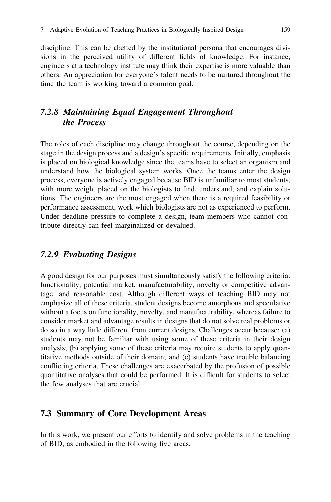discipline. This can be abetted by the institutional persona that encourages divisions in the perceived utility of different fields of knowledge. For instance, engineers at a technology institute may think their expertise is more valuable than others. An appreciation for everyone's talent needs to be nurtured throughout the time the team is working toward a common goal.

# 7.2.8 Maintaining Equal Engagement Throughout the Process

The roles of each discipline may change throughout the course, depending on the stage in the design process and a design's specific requirements. Initially, emphasis is placed on biological knowledge since the teams have to select an organism and understand how the biological system works. Once the teams enter the design process, everyone is actively engaged because BID is unfamiliar to most students, with more weight placed on the biologists to find, understand, and explain solutions. The engineers are the most engaged when there is a required feasibility or performance assessment, work which biologists are not as experienced to perform. Under deadline pressure to complete a design, team members who cannot contribute directly can feel marginalized or devalued.

# 7.2.9 Evaluating Designs

A good design for our purposes must simultaneously satisfy the following criteria: functionality, potential market, manufacturability, novelty or competitive advantage, and reasonable cost. Although different ways of teaching BID may not emphasize all of these criteria, student designs become amorphous and speculative without a focus on functionality, novelty, and manufacturability, whereas failure to consider market and advantage results in designs that do not solve real problems or do so in a way little different from current designs. Challenges occur because: (a) students may not be familiar with using some of these criteria in their design analysis; (b) applying some of these criteria may require students to apply quantitative methods outside of their domain; and (c) students have trouble balancing conflicting criteria. These challenges are exacerbated by the profusion of possible quantitative analyses that could be performed. It is difficult for students to select the few analyses that are crucial.

# 7.3 Summary of Core Development Areas

In this work, we present our efforts to identify and solve problems in the teaching of BID, as embodied in the following five areas.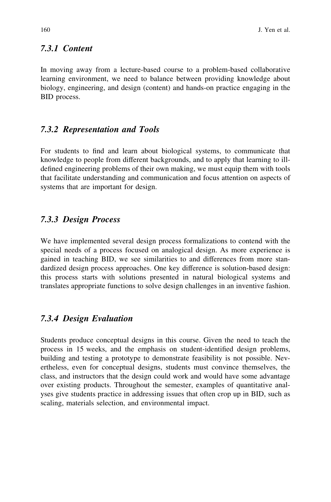## <span id="page-7-0"></span>7.3.1 Content

In moving away from a lecture-based course to a problem-based collaborative learning environment, we need to balance between providing knowledge about biology, engineering, and design (content) and hands-on practice engaging in the BID process.

# 7.3.2 Representation and Tools

For students to find and learn about biological systems, to communicate that knowledge to people from different backgrounds, and to apply that learning to illdefined engineering problems of their own making, we must equip them with tools that facilitate understanding and communication and focus attention on aspects of systems that are important for design.

## 7.3.3 Design Process

We have implemented several design process formalizations to contend with the special needs of a process focused on analogical design. As more experience is gained in teaching BID, we see similarities to and differences from more standardized design process approaches. One key difference is solution-based design: this process starts with solutions presented in natural biological systems and translates appropriate functions to solve design challenges in an inventive fashion.

# 7.3.4 Design Evaluation

Students produce conceptual designs in this course. Given the need to teach the process in 15 weeks, and the emphasis on student-identified design problems, building and testing a prototype to demonstrate feasibility is not possible. Nevertheless, even for conceptual designs, students must convince themselves, the class, and instructors that the design could work and would have some advantage over existing products. Throughout the semester, examples of quantitative analyses give students practice in addressing issues that often crop up in BID, such as scaling, materials selection, and environmental impact.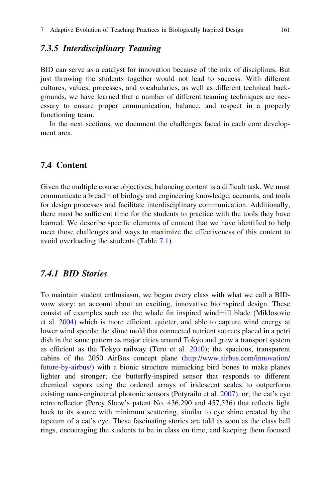## <span id="page-8-0"></span>7.3.5 Interdisciplinary Teaming

BID can serve as a catalyst for innovation because of the mix of disciplines. But just throwing the students together would not lead to success. With different cultures, values, processes, and vocabularies, as well as different technical backgrounds, we have learned that a number of different teaming techniques are necessary to ensure proper communication, balance, and respect in a properly functioning team.

In the next sections, we document the challenges faced in each core development area.

#### 7.4 Content

Given the multiple course objectives, balancing content is a difficult task. We must communicate a breadth of biology and engineering knowledge, accounts, and tools for design processes and facilitate interdisciplinary communication. Additionally, there must be sufficient time for the students to practice with the tools they have learned. We describe specific elements of content that we have identified to help meet those challenges and ways to maximize the effectiveness of this content to avoid overloading the students (Table [7.1](#page-9-0)).

## 7.4.1 BID Stories

To maintain student enthusiasm, we began every class with what we call a BIDwow story: an account about an exciting, innovative bioinspired design. These consist of examples such as: the whale fin inspired windmill blade (Miklosovic et al. [2004](#page-44-0)) which is more efficient, quieter, and able to capture wind energy at lower wind speeds; the slime mold that connected nutrient sources placed in a petri dish in the same pattern as major cities around Tokyo and grew a transport system as efficient as the Tokyo railway (Tero et al. [2010\)](#page-45-0); the spacious, transparent cabins of the 2050 AirBus concept plane ([http://www.airbus.com/innovation/](http://www.airbus.com/innovation/future-by-airbus/) [future-by-airbus/\)](http://www.airbus.com/innovation/future-by-airbus/) with a bionic structure mimicking bird bones to make planes lighter and stronger; the butterfly-inspired sensor that responds to different chemical vapors using the ordered arrays of iridescent scales to outperform existing nano-engineered photonic sensors (Potyrailo et al. [2007\)](#page-45-0), or; the cat's eye retro reflector (Percy Shaw's patent No. 436,290 and 457,536) that reflects light back to its source with minimum scattering, similar to eye shine created by the tapetum of a cat's eye. These fascinating stories are told as soon as the class bell rings, encouraging the students to be in class on time, and keeping them focused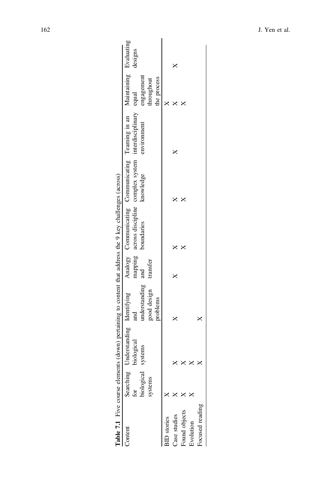<span id="page-9-0"></span>

|                |           |                      | Table 7.1 Five course elements (down) pertaining to content that address the 9 key challenges (across) |                                                                                                                                                                                                                                      |             |   |
|----------------|-----------|----------------------|--------------------------------------------------------------------------------------------------------|--------------------------------------------------------------------------------------------------------------------------------------------------------------------------------------------------------------------------------------|-------------|---|
| ontent         | Searching |                      |                                                                                                        | 5 Understanding Identifying Analogy Communicating Communicating Teaming in an Maintaining Evaluating<br>biological and mapping across-discipline complex-system interdisciplinary equal designs<br>il svstems understanding and boun |             |   |
|                |           |                      |                                                                                                        |                                                                                                                                                                                                                                      |             |   |
|                | siologica |                      |                                                                                                        |                                                                                                                                                                                                                                      |             |   |
|                | stems     | good design transfer |                                                                                                        |                                                                                                                                                                                                                                      | hroughout   |   |
|                |           | problems             |                                                                                                        |                                                                                                                                                                                                                                      | the process |   |
| D stories      |           |                      |                                                                                                        |                                                                                                                                                                                                                                      |             |   |
| Jase studies   |           |                      |                                                                                                        |                                                                                                                                                                                                                                      |             | × |
| ound objects   |           |                      |                                                                                                        |                                                                                                                                                                                                                                      |             |   |
| volution       |           |                      |                                                                                                        |                                                                                                                                                                                                                                      |             |   |
| ocused reading |           |                      |                                                                                                        |                                                                                                                                                                                                                                      |             |   |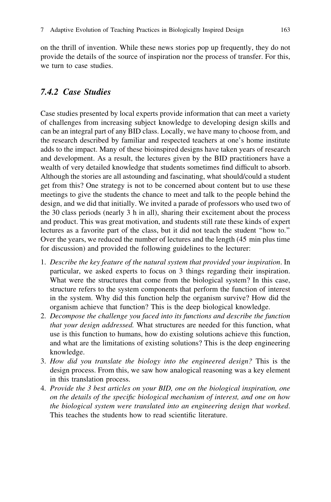on the thrill of invention. While these news stories pop up frequently, they do not provide the details of the source of inspiration nor the process of transfer. For this, we turn to case studies.

## 7.4.2 Case Studies

Case studies presented by local experts provide information that can meet a variety of challenges from increasing subject knowledge to developing design skills and can be an integral part of any BID class. Locally, we have many to choose from, and the research described by familiar and respected teachers at one's home institute adds to the impact. Many of these bioinspired designs have taken years of research and development. As a result, the lectures given by the BID practitioners have a wealth of very detailed knowledge that students sometimes find difficult to absorb. Although the stories are all astounding and fascinating, what should/could a student get from this? One strategy is not to be concerned about content but to use these meetings to give the students the chance to meet and talk to the people behind the design, and we did that initially. We invited a parade of professors who used two of the 30 class periods (nearly 3 h in all), sharing their excitement about the process and product. This was great motivation, and students still rate these kinds of expert lectures as a favorite part of the class, but it did not teach the student ''how to.'' Over the years, we reduced the number of lectures and the length (45 min plus time for discussion) and provided the following guidelines to the lecturer:

- 1. Describe the key feature of the natural system that provided your inspiration. In particular, we asked experts to focus on 3 things regarding their inspiration. What were the structures that come from the biological system? In this case, structure refers to the system components that perform the function of interest in the system. Why did this function help the organism survive? How did the organism achieve that function? This is the deep biological knowledge.
- 2. Decompose the challenge you faced into its functions and describe the function that your design addressed. What structures are needed for this function, what use is this function to humans, how do existing solutions achieve this function, and what are the limitations of existing solutions? This is the deep engineering knowledge.
- 3. How did you translate the biology into the engineered design? This is the design process. From this, we saw how analogical reasoning was a key element in this translation process.
- 4. Provide the 3 best articles on your BID, one on the biological inspiration, one on the details of the specific biological mechanism of interest, and one on how the biological system were translated into an engineering design that worked. This teaches the students how to read scientific literature.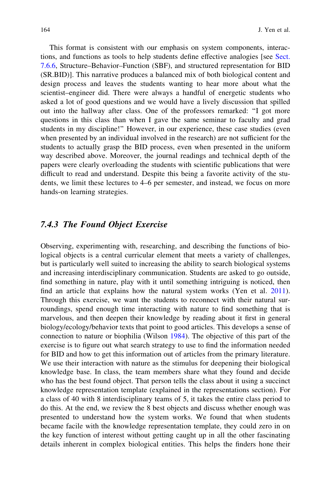This format is consistent with our emphasis on system components, interactions, and functions as tools to help students define effective analogies [see [Sect.](#page-26-0) [7.6.6,](#page-26-0) Structure–Behavior–Function (SBF), and structured representation for BID (SR.BID)]. This narrative produces a balanced mix of both biological content and design process and leaves the students wanting to hear more about what the scientist–engineer did. There were always a handful of energetic students who asked a lot of good questions and we would have a lively discussion that spilled out into the hallway after class. One of the professors remarked: ''I got more questions in this class than when I gave the same seminar to faculty and grad students in my discipline!'' However, in our experience, these case studies (even when presented by an individual involved in the research) are not sufficient for the students to actually grasp the BID process, even when presented in the uniform way described above. Moreover, the journal readings and technical depth of the papers were clearly overloading the students with scientific publications that were difficult to read and understand. Despite this being a favorite activity of the students, we limit these lectures to 4–6 per semester, and instead, we focus on more hands-on learning strategies.

## 7.4.3 The Found Object Exercise

Observing, experimenting with, researching, and describing the functions of biological objects is a central curricular element that meets a variety of challenges, but is particularly well suited to increasing the ability to search biological systems and increasing interdisciplinary communication. Students are asked to go outside, find something in nature, play with it until something intriguing is noticed, then find an article that explains how the natural system works (Yen et al. [2011\)](#page-46-0). Through this exercise, we want the students to reconnect with their natural surroundings, spend enough time interacting with nature to find something that is marvelous, and then deepen their knowledge by reading about it first in general biology/ecology/behavior texts that point to good articles. This develops a sense of connection to nature or biophilia (Wilson [1984\)](#page-46-0). The objective of this part of the exercise is to figure out what search strategy to use to find the information needed for BID and how to get this information out of articles from the primary literature. We use their interaction with nature as the stimulus for deepening their biological knowledge base. In class, the team members share what they found and decide who has the best found object. That person tells the class about it using a succinct knowledge representation template (explained in the representations section). For a class of 40 with 8 interdisciplinary teams of 5, it takes the entire class period to do this. At the end, we review the 8 best objects and discuss whether enough was presented to understand how the system works. We found that when students became facile with the knowledge representation template, they could zero in on the key function of interest without getting caught up in all the other fascinating details inherent in complex biological entities. This helps the finders hone their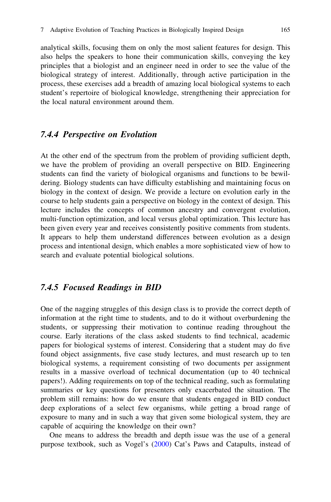<span id="page-12-0"></span>analytical skills, focusing them on only the most salient features for design. This also helps the speakers to hone their communication skills, conveying the key principles that a biologist and an engineer need in order to see the value of the biological strategy of interest. Additionally, through active participation in the process, these exercises add a breadth of amazing local biological systems to each student's repertoire of biological knowledge, strengthening their appreciation for the local natural environment around them.

#### 7.4.4 Perspective on Evolution

At the other end of the spectrum from the problem of providing sufficient depth, we have the problem of providing an overall perspective on BID. Engineering students can find the variety of biological organisms and functions to be bewildering. Biology students can have difficulty establishing and maintaining focus on biology in the context of design. We provide a lecture on evolution early in the course to help students gain a perspective on biology in the context of design. This lecture includes the concepts of common ancestry and convergent evolution, multi-function optimization, and local versus global optimization. This lecture has been given every year and receives consistently positive comments from students. It appears to help them understand differences between evolution as a design process and intentional design, which enables a more sophisticated view of how to search and evaluate potential biological solutions.

## 7.4.5 Focused Readings in BID

One of the nagging struggles of this design class is to provide the correct depth of information at the right time to students, and to do it without overburdening the students, or suppressing their motivation to continue reading throughout the course. Early iterations of the class asked students to find technical, academic papers for biological systems of interest. Considering that a student may do five found object assignments, five case study lectures, and must research up to ten biological systems, a requirement consisting of two documents per assignment results in a massive overload of technical documentation (up to 40 technical papers!). Adding requirements on top of the technical reading, such as formulating summaries or key questions for presenters only exacerbated the situation. The problem still remains: how do we ensure that students engaged in BID conduct deep explorations of a select few organisms, while getting a broad range of exposure to many and in such a way that given some biological system, they are capable of acquiring the knowledge on their own?

One means to address the breadth and depth issue was the use of a general purpose textbook, such as Vogel's ([2000\)](#page-46-0) Cat's Paws and Catapults, instead of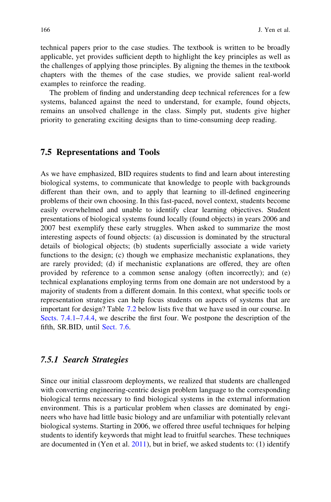<span id="page-13-0"></span>technical papers prior to the case studies. The textbook is written to be broadly applicable, yet provides sufficient depth to highlight the key principles as well as the challenges of applying those principles. By aligning the themes in the textbook chapters with the themes of the case studies, we provide salient real-world examples to reinforce the reading.

The problem of finding and understanding deep technical references for a few systems, balanced against the need to understand, for example, found objects, remains an unsolved challenge in the class. Simply put, students give higher priority to generating exciting designs than to time-consuming deep reading.

#### 7.5 Representations and Tools

As we have emphasized, BID requires students to find and learn about interesting biological systems, to communicate that knowledge to people with backgrounds different than their own, and to apply that learning to ill-defined engineering problems of their own choosing. In this fast-paced, novel context, students become easily overwhelmed and unable to identify clear learning objectives. Student presentations of biological systems found locally (found objects) in years 2006 and 2007 best exemplify these early struggles. When asked to summarize the most interesting aspects of found objects: (a) discussion is dominated by the structural details of biological objects; (b) students superficially associate a wide variety functions to the design; (c) though we emphasize mechanistic explanations, they are rarely provided; (d) if mechanistic explanations are offered, they are often provided by reference to a common sense analogy (often incorrectly); and (e) technical explanations employing terms from one domain are not understood by a majority of students from a different domain. In this context, what specific tools or representation strategies can help focus students on aspects of systems that are important for design? Table [7.2](#page-14-0) below lists five that we have used in our course. In [Sects. 7.4.1–](#page-8-0)[7.4.4,](#page-12-0) we describe the first four. We postpone the description of the fifth, SR.BID, until [Sect. 7.6](#page-20-0).

## 7.5.1 Search Strategies

Since our initial classroom deployments, we realized that students are challenged with converting engineering-centric design problem language to the corresponding biological terms necessary to find biological systems in the external information environment. This is a particular problem when classes are dominated by engineers who have had little basic biology and are unfamiliar with potentially relevant biological systems. Starting in 2006, we offered three useful techniques for helping students to identify keywords that might lead to fruitful searches. These techniques are documented in (Yen et al.  $2011$ ), but in brief, we asked students to: (1) identify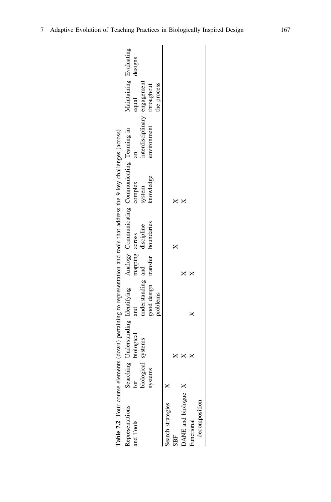<span id="page-14-0"></span>

| Table 7.2 Four course elements (down) pertaining to representation and tools that address the 9 key challenges (across) |                                      |            |                                                                        |                |                                                                                                  |                               |                                             |                                                              |         |
|-------------------------------------------------------------------------------------------------------------------------|--------------------------------------|------------|------------------------------------------------------------------------|----------------|--------------------------------------------------------------------------------------------------|-------------------------------|---------------------------------------------|--------------------------------------------------------------|---------|
| Representations<br>and Tools                                                                                            | biological systems<br>systems<br>ior | biological | good design transfer boundaries<br>understanding and<br>roblems<br>and | mapping across | Searching Understanding Identifying Analogy Communicating Communicating Teaming in<br>discipline | mowledge<br>complex<br>system | interdisciplinary engagement<br>environment | Maintaining Evaluating<br>the process<br>throughout<br>equal | designs |
| Search strategies                                                                                                       |                                      |            |                                                                        |                |                                                                                                  |                               |                                             |                                                              |         |
| SBF                                                                                                                     |                                      |            |                                                                        |                |                                                                                                  |                               |                                             |                                                              |         |
| DANE and biologue X                                                                                                     |                                      |            |                                                                        |                |                                                                                                  |                               |                                             |                                                              |         |
| Functional                                                                                                              |                                      |            |                                                                        |                |                                                                                                  |                               |                                             |                                                              |         |
| decomposition                                                                                                           |                                      |            |                                                                        |                |                                                                                                  |                               |                                             |                                                              |         |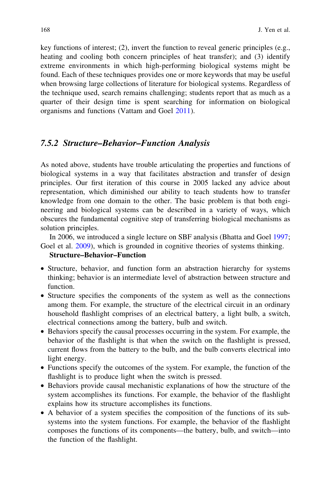key functions of interest; (2), invert the function to reveal generic principles (e.g., heating and cooling both concern principles of heat transfer); and (3) identify extreme environments in which high-performing biological systems might be found. Each of these techniques provides one or more keywords that may be useful when browsing large collections of literature for biological systems. Regardless of the technique used, search remains challenging; students report that as much as a quarter of their design time is spent searching for information on biological organisms and functions (Vattam and Goel [2011](#page-45-0)).

# 7.5.2 Structure–Behavior–Function Analysis

As noted above, students have trouble articulating the properties and functions of biological systems in a way that facilitates abstraction and transfer of design principles. Our first iteration of this course in 2005 lacked any advice about representation, which diminished our ability to teach students how to transfer knowledge from one domain to the other. The basic problem is that both engineering and biological systems can be described in a variety of ways, which obscures the fundamental cognitive step of transferring biological mechanisms as solution principles.

In 2006, we introduced a single lecture on SBF analysis (Bhatta and Goel [1997;](#page-43-0) Goel et al. [2009](#page-44-0)), which is grounded in cognitive theories of systems thinking.

#### Structure–Behavior–Function

- Structure, behavior, and function form an abstraction hierarchy for systems thinking; behavior is an intermediate level of abstraction between structure and function.
- Structure specifies the components of the system as well as the connections among them. For example, the structure of the electrical circuit in an ordinary household flashlight comprises of an electrical battery, a light bulb, a switch, electrical connections among the battery, bulb and switch.
- Behaviors specify the causal processes occurring in the system. For example, the behavior of the flashlight is that when the switch on the flashlight is pressed, current flows from the battery to the bulb, and the bulb converts electrical into light energy.
- Functions specify the outcomes of the system. For example, the function of the flashlight is to produce light when the switch is pressed.
- Behaviors provide causal mechanistic explanations of how the structure of the system accomplishes its functions. For example, the behavior of the flashlight explains how its structure accomplishes its functions.
- A behavior of a system specifies the composition of the functions of its subsystems into the system functions. For example, the behavior of the flashlight composes the functions of its components—the battery, bulb, and switch—into the function of the flashlight.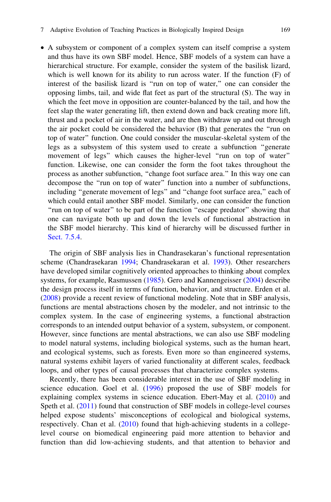• A subsystem or component of a complex system can itself comprise a system and thus have its own SBF model. Hence, SBF models of a system can have a hierarchical structure. For example, consider the system of the basilisk lizard, which is well known for its ability to run across water. If the function (F) of interest of the basilisk lizard is ''run on top of water,'' one can consider the opposing limbs, tail, and wide flat feet as part of the structural (S). The way in which the feet move in opposition are counter-balanced by the tail, and how the feet slap the water generating lift, then extend down and back creating more lift, thrust and a pocket of air in the water, and are then withdraw up and out through the air pocket could be considered the behavior (B) that generates the ''run on top of water'' function. One could consider the muscular-skeletal system of the legs as a subsystem of this system used to create a subfunction ''generate movement of legs" which causes the higher-level "run on top of water" function. Likewise, one can consider the form the foot takes throughout the process as another subfunction, ''change foot surface area.'' In this way one can decompose the "run on top of water" function into a number of subfunctions, including ''generate movement of legs'' and ''change foot surface area,'' each of which could entail another SBF model. Similarly, one can consider the function ''run on top of water'' to be part of the function ''escape predator'' showing that one can navigate both up and down the levels of functional abstraction in the SBF model hierarchy. This kind of hierarchy will be discussed further in [Sect. 7.5.4](#page-20-0).

The origin of SBF analysis lies in Chandrasekaran's functional representation scheme (Chandrasekaran [1994;](#page-43-0) Chandrasekaran et al. [1993\)](#page-44-0). Other researchers have developed similar cognitively oriented approaches to thinking about complex systems, for example, Rasmussen [\(1985](#page-45-0)). Gero and Kannengeisser [\(2004](#page-44-0)) describe the design process itself in terms of function, behavior, and structure. Erden et al. [\(2008](#page-44-0)) provide a recent review of functional modeling. Note that in SBF analysis, functions are mental abstractions chosen by the modeler, and not intrinsic to the complex system. In the case of engineering systems, a functional abstraction corresponds to an intended output behavior of a system, subsystem, or component. However, since functions are mental abstractions, we can also use SBF modeling to model natural systems, including biological systems, such as the human heart, and ecological systems, such as forests. Even more so than engineered systems, natural systems exhibit layers of varied functionality at different scales, feedback loops, and other types of causal processes that characterize complex systems.

Recently, there has been considerable interest in the use of SBF modeling in science education. Goel et al. [\(1996](#page-44-0)) proposed the use of SBF models for explaining complex systems in science education. Ebert-May et al. ([2010](#page-44-0)) and Speth et al. [\(2011](#page-45-0)) found that construction of SBF models in college-level courses helped expose students' misconceptions of ecological and biological systems, respectively. Chan et al. ([2010\)](#page-43-0) found that high-achieving students in a collegelevel course on biomedical engineering paid more attention to behavior and function than did low-achieving students, and that attention to behavior and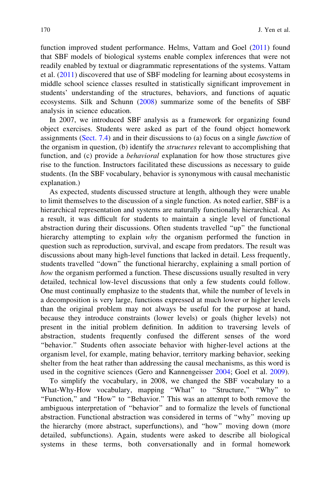function improved student performance. Helms, Vattam and Goel ([2011\)](#page-45-0) found that SBF models of biological systems enable complex inferences that were not readily enabled by textual or diagrammatic representations of the systems. Vattam et al. [\(2011](#page-45-0)) discovered that use of SBF modeling for learning about ecosystems in middle school science classes resulted in statistically significant improvement in students' understanding of the structures, behaviors, and functions of aquatic ecosystems. Silk and Schunn [\(2008](#page-45-0)) summarize some of the benefits of SBF analysis in science education.

In 2007, we introduced SBF analysis as a framework for organizing found object exercises. Students were asked as part of the found object homework assignments ([Sect. 7.4\)](#page-7-0) and in their discussions to (a) focus on a single function of the organism in question, (b) identify the structures relevant to accomplishing that function, and (c) provide a behavioral explanation for how those structures give rise to the function. Instructors facilitated these discussions as necessary to guide students. (In the SBF vocabulary, behavior is synonymous with causal mechanistic explanation.)

As expected, students discussed structure at length, although they were unable to limit themselves to the discussion of a single function. As noted earlier, SBF is a hierarchical representation and systems are naturally functionally hierarchical. As a result, it was difficult for students to maintain a single level of functional abstraction during their discussions. Often students travelled ''up'' the functional hierarchy attempting to explain why the organism performed the function in question such as reproduction, survival, and escape from predators. The result was discussions about many high-level functions that lacked in detail. Less frequently, students travelled ''down'' the functional hierarchy, explaining a small portion of how the organism performed a function. These discussions usually resulted in very detailed, technical low-level discussions that only a few students could follow. One must continually emphasize to the students that, while the number of levels in a decomposition is very large, functions expressed at much lower or higher levels than the original problem may not always be useful for the purpose at hand, because they introduce constraints (lower levels) or goals (higher levels) not present in the initial problem definition. In addition to traversing levels of abstraction, students frequently confused the different senses of the word ''behavior.'' Students often associate behavior with higher-level actions at the organism level, for example, mating behavior, territory marking behavior, seeking shelter from the heat rather than addressing the causal mechanisms, as this word is used in the cognitive sciences (Gero and Kannengeisser [2004](#page-44-0); Goel et al. [2009\)](#page-44-0).

To simplify the vocabulary, in 2008, we changed the SBF vocabulary to a What-Why-How vocabulary, mapping "What" to "Structure," "Why" to "Function," and "How" to "Behavior." This was an attempt to both remove the ambiguous interpretation of ''behavior'' and to formalize the levels of functional abstraction. Functional abstraction was considered in terms of ''why'' moving up the hierarchy (more abstract, superfunctions), and ''how'' moving down (more detailed, subfunctions). Again, students were asked to describe all biological systems in these terms, both conversationally and in formal homework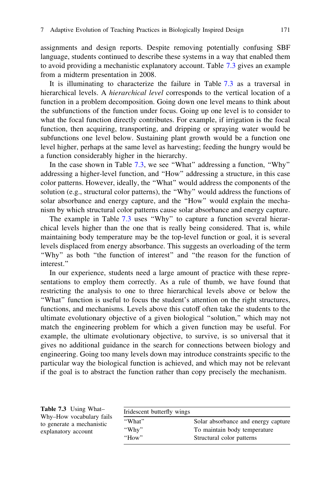assignments and design reports. Despite removing potentially confusing SBF language, students continued to describe these systems in a way that enabled them to avoid providing a mechanistic explanatory account. Table 7.3 gives an example from a midterm presentation in 2008.

It is illuminating to characterize the failure in Table 7.3 as a traversal in hierarchical levels. A hierarchical level corresponds to the vertical location of a function in a problem decomposition. Going down one level means to think about the subfunctions of the function under focus. Going up one level is to consider to what the focal function directly contributes. For example, if irrigation is the focal function, then acquiring, transporting, and dripping or spraying water would be subfunctions one level below. Sustaining plant growth would be a function one level higher, perhaps at the same level as harvesting; feeding the hungry would be a function considerably higher in the hierarchy.

In the case shown in Table 7.3, we see "What" addressing a function, "Why" addressing a higher-level function, and ''How'' addressing a structure, in this case color patterns. However, ideally, the ''What'' would address the components of the solution (e.g., structural color patterns), the ''Why'' would address the functions of solar absorbance and energy capture, and the ''How'' would explain the mechanism by which structural color patterns cause solar absorbance and energy capture.

The example in Table 7.3 uses "Why" to capture a function several hierarchical levels higher than the one that is really being considered. That is, while maintaining body temperature may be the top-level function or goal, it is several levels displaced from energy absorbance. This suggests an overloading of the term ''Why'' as both ''the function of interest'' and ''the reason for the function of interest.''

In our experience, students need a large amount of practice with these representations to employ them correctly. As a rule of thumb, we have found that restricting the analysis to one to three hierarchical levels above or below the "What" function is useful to focus the student's attention on the right structures, functions, and mechanisms. Levels above this cutoff often take the students to the ultimate evolutionary objective of a given biological ''solution,'' which may not match the engineering problem for which a given function may be useful. For example, the ultimate evolutionary objective, to survive, is so universal that it gives no additional guidance in the search for connections between biology and engineering. Going too many levels down may introduce constraints specific to the particular way the biological function is achieved, and which may not be relevant if the goal is to abstract the function rather than copy precisely the mechanism.

| <b>Table 7.3</b> Using What-<br>Why-How vocabulary fails | Iridescent butterfly wings |                                     |
|----------------------------------------------------------|----------------------------|-------------------------------------|
| to generate a mechanistic                                | "What"                     | Solar absorbance and energy capture |
| explanatory account                                      | "Why"                      | To maintain body temperature        |
|                                                          | "How"                      | Structural color patterns           |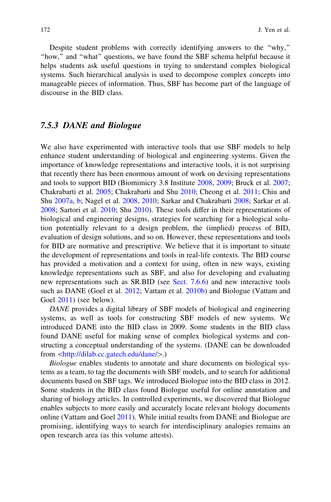Despite student problems with correctly identifying answers to the ''why,'' "how," and "what" questions, we have found the SBF schema helpful because it helps students ask useful questions in trying to understand complex biological systems. Such hierarchical analysis is used to decompose complex concepts into manageable pieces of information. Thus, SBF has become part of the language of discourse in the BID class.

#### 7.5.3 DANE and Biologue

We also have experimented with interactive tools that use SBF models to help enhance student understanding of biological and engineering systems. Given the importance of knowledge representations and interactive tools, it is not surprising that recently there has been enormous amount of work on devising representations and tools to support BID (Biomimicry 3.8 Institute [2008](#page-43-0), [2009](#page-43-0); Bruck et al. [2007;](#page-43-0) Chakrabarti et al. [2005](#page-43-0); Chakrabarti and Shu [2010;](#page-43-0) Cheong et al. [2011;](#page-44-0) Chiu and Shu [2007a,](#page-44-0) [b](#page-44-0); Nagel et al. [2008,](#page-45-0) [2010](#page-45-0); Sarkar and Chakrabarti [2008;](#page-45-0) Sarkar et al. [2008;](#page-45-0) Sartori et al. [2010](#page-45-0); Shu [2010\)](#page-45-0). These tools differ in their representations of biological and engineering designs, strategies for searching for a biological solution potentially relevant to a design problem, the (implied) process of BID, evaluation of design solutions, and so on. However, these representations and tools for BID are normative and prescriptive. We believe that it is important to situate the development of representations and tools in real-life contexts. The BID course has provided a motivation and a context for using, often in new ways, existing knowledge representations such as SBF, and also for developing and evaluating new representations such as SR.BID (see [Sect. 7.6.6](#page-26-0)) and new interactive tools such as DANE (Goel et al. [2012;](#page-44-0) Vattam et al. [2010b\)](#page-45-0) and Biologue (Vattam and Goel  $2011$ ) (see below).

DANE provides a digital library of SBF models of biological and engineering systems, as well as tools for constructing SBF models of new systems. We introduced DANE into the BID class in 2009. Some students in the BID class found DANE useful for making sense of complex biological systems and constructing a conceptual understanding of the systems. (DANE can be downloaded from  $\langle \frac{http://dilab.cc.gatech.edu/dane}{\rangle}.$ 

Biologue enables students to annotate and share documents on biological systems as a team, to tag the documents with SBF models, and to search for additional documents based on SBF tags. We introduced Biologue into the BID class in 2012. Some students in the BID class found Biologue useful for online annotation and sharing of biology articles. In controlled experiments, we discovered that Biologue enables subjects to more easily and accurately locate relevant biology documents online (Vattam and Goel [2011](#page-45-0)). While initial results from DANE and Biologue are promising, identifying ways to search for interdisciplinary analogies remains an open research area (as this volume attests).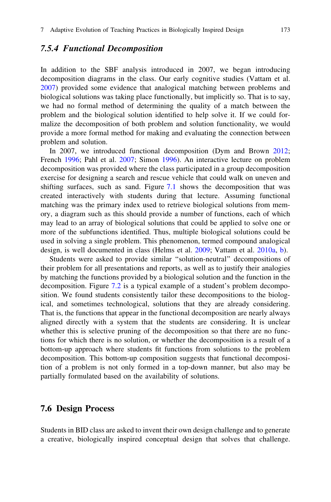#### <span id="page-20-0"></span>7.5.4 Functional Decomposition

In addition to the SBF analysis introduced in 2007, we began introducing decomposition diagrams in the class. Our early cognitive studies (Vattam et al. [2007\)](#page-45-0) provided some evidence that analogical matching between problems and biological solutions was taking place functionally, but implicitly so. That is to say, we had no formal method of determining the quality of a match between the problem and the biological solution identified to help solve it. If we could formalize the decomposition of both problem and solution functionality, we would provide a more formal method for making and evaluating the connection between problem and solution.

In 2007, we introduced functional decomposition (Dym and Brown [2012;](#page-44-0) French [1996](#page-44-0); Pahl et al. [2007](#page-45-0); Simon [1996](#page-45-0)). An interactive lecture on problem decomposition was provided where the class participated in a group decomposition exercise for designing a search and rescue vehicle that could walk on uneven and shifting surfaces, such as sand. Figure [7.1](#page-21-0) shows the decomposition that was created interactively with students during that lecture. Assuming functional matching was the primary index used to retrieve biological solutions from memory, a diagram such as this should provide a number of functions, each of which may lead to an array of biological solutions that could be applied to solve one or more of the subfunctions identified. Thus, multiple biological solutions could be used in solving a single problem. This phenomenon, termed compound analogical design, is well documented in class (Helms et al. [2009;](#page-44-0) Vattam et al. [2010a](#page-45-0), [b\)](#page-45-0).

Students were asked to provide similar ''solution-neutral'' decompositions of their problem for all presentations and reports, as well as to justify their analogies by matching the functions provided by a biological solution and the function in the decomposition. Figure [7.2](#page-21-0) is a typical example of a student's problem decomposition. We found students consistently tailor these decompositions to the biological, and sometimes technological, solutions that they are already considering. That is, the functions that appear in the functional decomposition are nearly always aligned directly with a system that the students are considering. It is unclear whether this is selective pruning of the decomposition so that there are no functions for which there is no solution, or whether the decomposition is a result of a bottom-up approach where students fit functions from solutions to the problem decomposition. This bottom-up composition suggests that functional decomposition of a problem is not only formed in a top-down manner, but also may be partially formulated based on the availability of solutions.

#### 7.6 Design Process

Students in BID class are asked to invent their own design challenge and to generate a creative, biologically inspired conceptual design that solves that challenge.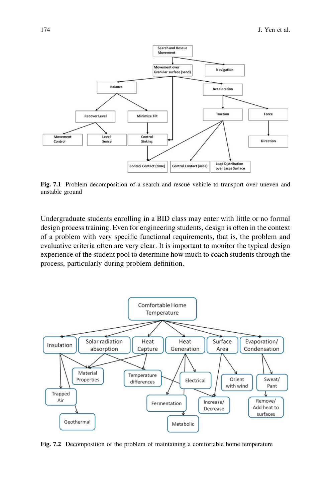<span id="page-21-0"></span>

Fig. 7.1 Problem decomposition of a search and rescue vehicle to transport over uneven and unstable ground

Undergraduate students enrolling in a BID class may enter with little or no formal design process training. Even for engineering students, design is often in the context of a problem with very specific functional requirements, that is, the problem and evaluative criteria often are very clear. It is important to monitor the typical design experience of the student pool to determine how much to coach students through the process, particularly during problem definition.



Fig. 7.2 Decomposition of the problem of maintaining a comfortable home temperature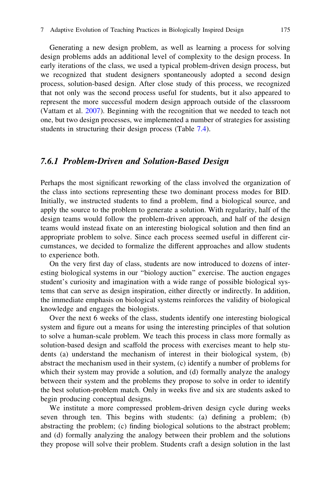Generating a new design problem, as well as learning a process for solving design problems adds an additional level of complexity to the design process. In early iterations of the class, we used a typical problem-driven design process, but we recognized that student designers spontaneously adopted a second design process, solution-based design. After close study of this process, we recognized that not only was the second process useful for students, but it also appeared to represent the more successful modern design approach outside of the classroom (Vattam et al. [2007](#page-45-0)). Beginning with the recognition that we needed to teach not one, but two design processes, we implemented a number of strategies for assisting students in structuring their design process (Table [7.4](#page-23-0)).

#### 7.6.1 Problem-Driven and Solution-Based Design

Perhaps the most significant reworking of the class involved the organization of the class into sections representing these two dominant process modes for BID. Initially, we instructed students to find a problem, find a biological source, and apply the source to the problem to generate a solution. With regularity, half of the design teams would follow the problem-driven approach, and half of the design teams would instead fixate on an interesting biological solution and then find an appropriate problem to solve. Since each process seemed useful in different circumstances, we decided to formalize the different approaches and allow students to experience both.

On the very first day of class, students are now introduced to dozens of interesting biological systems in our ''biology auction'' exercise. The auction engages student's curiosity and imagination with a wide range of possible biological systems that can serve as design inspiration, either directly or indirectly. In addition, the immediate emphasis on biological systems reinforces the validity of biological knowledge and engages the biologists.

Over the next 6 weeks of the class, students identify one interesting biological system and figure out a means for using the interesting principles of that solution to solve a human-scale problem. We teach this process in class more formally as solution-based design and scaffold the process with exercises meant to help students (a) understand the mechanism of interest in their biological system, (b) abstract the mechanism used in their system, (c) identify a number of problems for which their system may provide a solution, and (d) formally analyze the analogy between their system and the problems they propose to solve in order to identify the best solution-problem match. Only in weeks five and six are students asked to begin producing conceptual designs.

We institute a more compressed problem-driven design cycle during weeks seven through ten. This begins with students: (a) defining a problem; (b) abstracting the problem; (c) finding biological solutions to the abstract problem; and (d) formally analyzing the analogy between their problem and the solutions they propose will solve their problem. Students craft a design solution in the last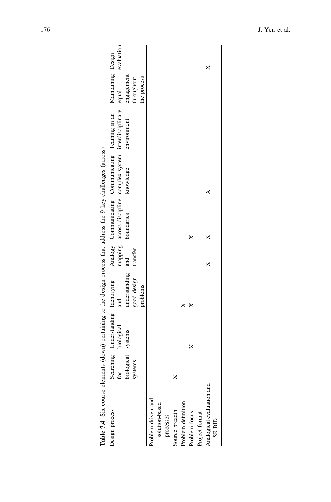<span id="page-23-0"></span>

| Table 7.4 Six course elements (down) pertaining to the design process that address the 9 key challenges (across) |                                      |                                                   |                                                 |                            |                                                                                                                                                |           |             |                                         |            |
|------------------------------------------------------------------------------------------------------------------|--------------------------------------|---------------------------------------------------|-------------------------------------------------|----------------------------|------------------------------------------------------------------------------------------------------------------------------------------------|-----------|-------------|-----------------------------------------|------------|
| Design process                                                                                                   | biological systems<br>systems<br>for | Searching Understanding Identifying<br>biological | understanding<br>good design<br>problems<br>and | mapping<br>transfer<br>and | Analogy Communicating Communicating Teaming in an Maintaining Design<br>across discipline complex system interdisciplinary equal<br>boundaries | knowledge | environment | engagement<br>the process<br>throughout | evaluation |
| Problem-driven and<br>solution-based                                                                             |                                      |                                                   |                                                 |                            |                                                                                                                                                |           |             |                                         |            |
| Problem definition<br>Source breadth<br>processes                                                                | ×                                    |                                                   |                                                 |                            |                                                                                                                                                |           |             |                                         |            |
| Problem focus<br>Project format                                                                                  |                                      | ×                                                 |                                                 |                            |                                                                                                                                                |           |             |                                         |            |
| Analogical evaluation and<br><b>SR.BID</b>                                                                       |                                      |                                                   |                                                 |                            |                                                                                                                                                |           |             |                                         |            |

Table 7.4 Six course elements (down) pertaining to the design process that address the 9 key challenges (across)  $\ddot{\phantom{0}}$ d address the Q best challe J, Ŕ  $\ddot{\phantom{a}}$ Ŕ l,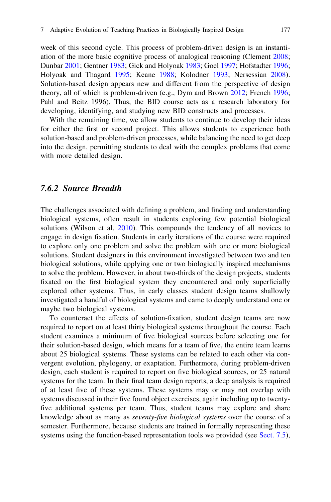week of this second cycle. This process of problem-driven design is an instantiation of the more basic cognitive process of analogical reasoning (Clement [2008;](#page-44-0) Dunbar [2001](#page-44-0); Gentner [1983;](#page-44-0) Gick and Holyoak [1983](#page-44-0); Goel [1997](#page-44-0); Hofstadter [1996;](#page-44-0) Holyoak and Thagard [1995](#page-44-0); Keane [1988](#page-44-0); Kolodner [1993;](#page-44-0) Nersessian [2008\)](#page-45-0). Solution-based design appears new and different from the perspective of design theory, all of which is problem-driven (e.g., Dym and Brown [2012](#page-44-0); French [1996;](#page-44-0) Pahl and Beitz 1996). Thus, the BID course acts as a research laboratory for developing, identifying, and studying new BID constructs and processes.

With the remaining time, we allow students to continue to develop their ideas for either the first or second project. This allows students to experience both solution-based and problem-driven processes, while balancing the need to get deep into the design, permitting students to deal with the complex problems that come with more detailed design.

## 7.6.2 Source Breadth

The challenges associated with defining a problem, and finding and understanding biological systems, often result in students exploring few potential biological solutions (Wilson et al. [2010](#page-46-0)). This compounds the tendency of all novices to engage in design fixation. Students in early iterations of the course were required to explore only one problem and solve the problem with one or more biological solutions. Student designers in this environment investigated between two and ten biological solutions, while applying one or two biologically inspired mechanisms to solve the problem. However, in about two-thirds of the design projects, students fixated on the first biological system they encountered and only superficially explored other systems. Thus, in early classes student design teams shallowly investigated a handful of biological systems and came to deeply understand one or maybe two biological systems.

To counteract the effects of solution-fixation, student design teams are now required to report on at least thirty biological systems throughout the course. Each student examines a minimum of five biological sources before selecting one for their solution-based design, which means for a team of five, the entire team learns about 25 biological systems. These systems can be related to each other via convergent evolution, phylogeny, or exaptation. Furthermore, during problem-driven design, each student is required to report on five biological sources, or 25 natural systems for the team. In their final team design reports, a deep analysis is required of at least five of these systems. These systems may or may not overlap with systems discussed in their five found object exercises, again including up to twentyfive additional systems per team. Thus, student teams may explore and share knowledge about as many as seventy-five biological systems over the course of a semester. Furthermore, because students are trained in formally representing these systems using the function-based representation tools we provided (see [Sect. 7.5\)](#page-13-0),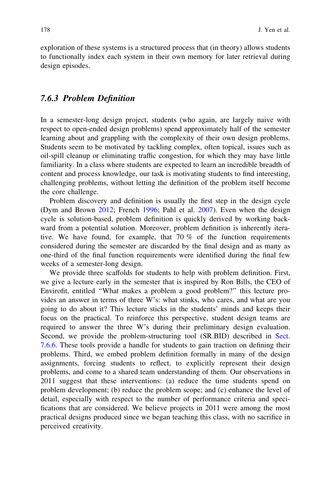<span id="page-25-0"></span>exploration of these systems is a structured process that (in theory) allows students to functionally index each system in their own memory for later retrieval during design episodes.

#### 7.6.3 Problem Definition

In a semester-long design project, students (who again, are largely naive with respect to open-ended design problems) spend approximately half of the semester learning about and grappling with the complexity of their own design problems. Students seem to be motivated by tackling complex, often topical, issues such as oil-spill cleanup or eliminating traffic congestion, for which they may have little familiarity. In a class where students are expected to learn an incredible breadth of content and process knowledge, our task is motivating students to find interesting, challenging problems, without letting the definition of the problem itself become the core challenge.

Problem discovery and definition is usually the first step in the design cycle (Dym and Brown [2012;](#page-44-0) French [1996](#page-44-0); Pahl et al. [2007](#page-45-0)). Even when the design cycle is solution-based, problem definition is quickly derived by working backward from a potential solution. Moreover, problem definition is inherently iterative. We have found, for example, that 70 % of the function requirements considered during the semester are discarded by the final design and as many as one-third of the final function requirements were identified during the final few weeks of a semester-long design.

We provide three scaffolds for students to help with problem definition. First, we give a lecture early in the semester that is inspired by Ron Bills, the CEO of Envirofit, entitled ''What makes a problem a good problem?'' this lecture provides an answer in terms of three W's: what stinks, who cares, and what are you going to do about it? This lecture sticks in the students' minds and keeps their focus on the practical. To reinforce this perspective, student design teams are required to answer the three W's during their preliminary design evaluation. Second, we provide the problem-structuring tool (SR.BID) described in [Sect.](#page-26-0) [7.6.6.](#page-26-0) These tools provide a handle for students to gain traction on defining their problems. Third, we embed problem definition formally in many of the design assignments, forcing students to reflect, to explicitly represent their design problems, and come to a shared team understanding of them. Our observations in 2011 suggest that these interventions: (a) reduce the time students spend on problem development; (b) reduce the problem scope; and (c) enhance the level of detail, especially with respect to the number of performance criteria and specifications that are considered. We believe projects in 2011 were among the most practical designs produced since we began teaching this class, with no sacrifice in perceived creativity.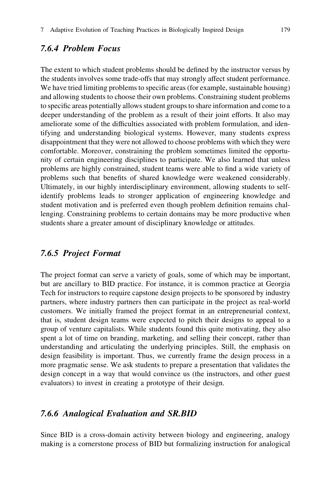## <span id="page-26-0"></span>7.6.4 Problem Focus

The extent to which student problems should be defined by the instructor versus by the students involves some trade-offs that may strongly affect student performance. We have tried limiting problems to specific areas (for example, sustainable housing) and allowing students to choose their own problems. Constraining student problems to specific areas potentially allows student groups to share information and come to a deeper understanding of the problem as a result of their joint efforts. It also may ameliorate some of the difficulties associated with problem formulation, and identifying and understanding biological systems. However, many students express disappointment that they were not allowed to choose problems with which they were comfortable. Moreover, constraining the problem sometimes limited the opportunity of certain engineering disciplines to participate. We also learned that unless problems are highly constrained, student teams were able to find a wide variety of problems such that benefits of shared knowledge were weakened considerably. Ultimately, in our highly interdisciplinary environment, allowing students to selfidentify problems leads to stronger application of engineering knowledge and student motivation and is preferred even though problem definition remains challenging. Constraining problems to certain domains may be more productive when students share a greater amount of disciplinary knowledge or attitudes.

## 7.6.5 Project Format

The project format can serve a variety of goals, some of which may be important, but are ancillary to BID practice. For instance, it is common practice at Georgia Tech for instructors to require capstone design projects to be sponsored by industry partners, where industry partners then can participate in the project as real-world customers. We initially framed the project format in an entrepreneurial context, that is, student design teams were expected to pitch their designs to appeal to a group of venture capitalists. While students found this quite motivating, they also spent a lot of time on branding, marketing, and selling their concept, rather than understanding and articulating the underlying principles. Still, the emphasis on design feasibility is important. Thus, we currently frame the design process in a more pragmatic sense. We ask students to prepare a presentation that validates the design concept in a way that would convince us (the instructors, and other guest evaluators) to invest in creating a prototype of their design.

# 7.6.6 Analogical Evaluation and SR.BID

Since BID is a cross-domain activity between biology and engineering, analogy making is a cornerstone process of BID but formalizing instruction for analogical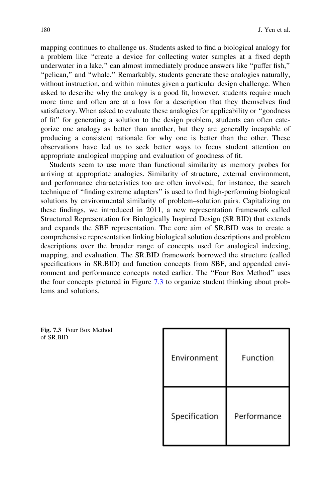mapping continues to challenge us. Students asked to find a biological analogy for a problem like ''create a device for collecting water samples at a fixed depth underwater in a lake,'' can almost immediately produce answers like ''puffer fish,'' "pelican," and "whale." Remarkably, students generate these analogies naturally, without instruction, and within minutes given a particular design challenge. When asked to describe why the analogy is a good fit, however, students require much more time and often are at a loss for a description that they themselves find satisfactory. When asked to evaluate these analogies for applicability or ''goodness of fit'' for generating a solution to the design problem, students can often categorize one analogy as better than another, but they are generally incapable of producing a consistent rationale for why one is better than the other. These observations have led us to seek better ways to focus student attention on appropriate analogical mapping and evaluation of goodness of fit.

Students seem to use more than functional similarity as memory probes for arriving at appropriate analogies. Similarity of structure, external environment, and performance characteristics too are often involved; for instance, the search technique of ''finding extreme adapters'' is used to find high-performing biological solutions by environmental similarity of problem–solution pairs. Capitalizing on these findings, we introduced in 2011, a new representation framework called Structured Representation for Biologically Inspired Design (SR.BID) that extends and expands the SBF representation. The core aim of SR.BID was to create a comprehensive representation linking biological solution descriptions and problem descriptions over the broader range of concepts used for analogical indexing, mapping, and evaluation. The SR.BID framework borrowed the structure (called specifications in SR.BID) and function concepts from SBF, and appended environment and performance concepts noted earlier. The ''Four Box Method'' uses the four concepts pictured in Figure 7.3 to organize student thinking about problems and solutions.

| Environment   | Function    |
|---------------|-------------|
| Specification | Performance |

| Fig. 7.3 Four Box Method |  |  |
|--------------------------|--|--|
| of SR.BID                |  |  |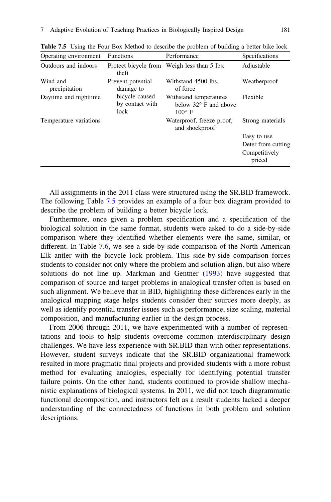| Operating environment     | Functions                                 | Performance                                                                 | Specifications                                               |
|---------------------------|-------------------------------------------|-----------------------------------------------------------------------------|--------------------------------------------------------------|
| Outdoors and indoors      | theft                                     | Protect bicycle from Weigh less than 5 lbs.                                 | Adjustable                                                   |
| Wind and<br>precipitation | Prevent potential<br>damage to            | Withstand 4500 lbs.<br>of force                                             | Weatherproof                                                 |
| Daytime and nighttime     | bicycle caused<br>by contact with<br>lock | Withstand temperatures<br>below $32^{\circ}$ F and above<br>$100^{\circ}$ F | Flexible                                                     |
| Temperature variations    |                                           | Waterproof, freeze proof,<br>and shockproof                                 | Strong materials                                             |
|                           |                                           |                                                                             | Easy to use<br>Deter from cutting<br>Competitively<br>priced |

Table 7.5 Using the Four Box Method to describe the problem of building a better bike lock

All assignments in the 2011 class were structured using the SR.BID framework. The following Table 7.5 provides an example of a four box diagram provided to describe the problem of building a better bicycle lock.

Furthermore, once given a problem specification and a specification of the biological solution in the same format, students were asked to do a side-by-side comparison where they identified whether elements were the same, similar, or different. In Table [7.6](#page-29-0), we see a side-by-side comparison of the North American Elk antler with the bicycle lock problem. This side-by-side comparison forces students to consider not only where the problem and solution align, but also where solutions do not line up. Markman and Gentner ([1993](#page-44-0)) have suggested that comparison of source and target problems in analogical transfer often is based on such alignment. We believe that in BID, highlighting these differences early in the analogical mapping stage helps students consider their sources more deeply, as well as identify potential transfer issues such as performance, size scaling, material composition, and manufacturing earlier in the design process.

From 2006 through 2011, we have experimented with a number of representations and tools to help students overcome common interdisciplinary design challenges. We have less experience with SR.BID than with other representations. However, student surveys indicate that the SR.BID organizational framework resulted in more pragmatic final projects and provided students with a more robust method for evaluating analogies, especially for identifying potential transfer failure points. On the other hand, students continued to provide shallow mechanistic explanations of biological systems. In 2011, we did not teach diagrammatic functional decomposition, and instructors felt as a result students lacked a deeper understanding of the connectedness of functions in both problem and solution descriptions.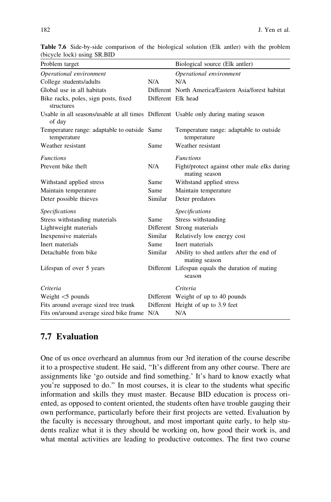| Problem target                                                                                 |         | Biological source (Elk antler)                                |
|------------------------------------------------------------------------------------------------|---------|---------------------------------------------------------------|
| Operational environment                                                                        |         | Operational environment                                       |
| College students/adults                                                                        | N/A     | N/A                                                           |
| Global use in all habitats                                                                     |         | Different North America/Eastern Asia/forest habitat           |
| Bike racks, poles, sign posts, fixed<br>structures                                             |         | Different Elk head                                            |
| Usable in all seasons/usable at all times Different Usable only during mating season<br>of day |         |                                                               |
| Temperature range: adaptable to outside Same<br>temperature                                    |         | Temperature range: adaptable to outside<br>temperature        |
| Weather resistant                                                                              | Same    | Weather resistant                                             |
| <b>Functions</b>                                                                               |         | <b>Functions</b>                                              |
| Prevent bike theft                                                                             | N/A     | Fight/protect against other male elks during<br>mating season |
| Withstand applied stress                                                                       | Same    | Withstand applied stress                                      |
| Maintain temperature                                                                           | Same    | Maintain temperature                                          |
| Deter possible thieves                                                                         | Similar | Deter predators                                               |
| <b>Specifications</b>                                                                          |         | Specifications                                                |
| Stress withstanding materials                                                                  | Same    | Stress withstanding                                           |
| Lightweight materials                                                                          |         | Different Strong materials                                    |
| Inexpensive materials                                                                          | Similar | Relatively low energy cost                                    |
| Inert materials                                                                                | Same    | Inert materials                                               |
| Detachable from bike                                                                           | Similar | Ability to shed antlers after the end of<br>mating season     |
| Lifespan of over 5 years                                                                       |         | Different Lifespan equals the duration of mating<br>season    |
| Criteria                                                                                       |         | Criteria                                                      |
| Weight $<$ 5 pounds                                                                            |         | Different Weight of up to 40 pounds                           |
| Fits around average sized tree trunk                                                           |         | Different Height of up to 3.9 feet                            |
| Fits on/around average sized bike frame N/A                                                    |         | N/A                                                           |

<span id="page-29-0"></span>Table 7.6 Side-by-side comparison of the biological solution (Elk antler) with the problem (bicycle lock) using SR.BID

# 7.7 Evaluation

One of us once overheard an alumnus from our 3rd iteration of the course describe it to a prospective student. He said, ''It's different from any other course. There are assignments like 'go outside and find something.' It's hard to know exactly what you're supposed to do.'' In most courses, it is clear to the students what specific information and skills they must master. Because BID education is process oriented, as opposed to content oriented, the students often have trouble gauging their own performance, particularly before their first projects are vetted. Evaluation by the faculty is necessary throughout, and most important quite early, to help students realize what it is they should be working on, how good their work is, and what mental activities are leading to productive outcomes. The first two course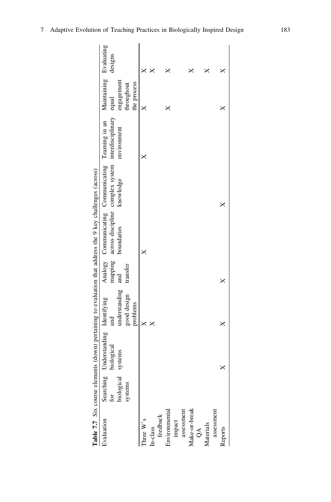<span id="page-30-0"></span>

|                      |                               |                                                    |                         |                           | Table 7.7 Six course elements (down) pertaining to evaluation that address the 9 key challenges (across) |                                                                 |             |                                               |         |
|----------------------|-------------------------------|----------------------------------------------------|-------------------------|---------------------------|----------------------------------------------------------------------------------------------------------|-----------------------------------------------------------------|-------------|-----------------------------------------------|---------|
| Evaluation           | Searching<br>biologica<br>for | Understanding Identifying<br>biological<br>systems | understanding<br>and    | apping<br>transfer<br>and | Analogy Communicating Communicating Teaming in an<br>boundaries                                          | across discipline complex system interdisciplinary<br>knowledge | environment | Maintaining Evaluating<br>engagement<br>equal | designs |
|                      | systems                       |                                                    | good design<br>problems |                           |                                                                                                          |                                                                 |             | the process<br>throughout                     |         |
| Three W's            |                               |                                                    |                         |                           |                                                                                                          |                                                                 |             |                                               |         |
| feedback<br>In-class |                               |                                                    |                         |                           |                                                                                                          |                                                                 |             |                                               |         |
| Environmental        |                               |                                                    |                         |                           |                                                                                                          |                                                                 |             |                                               |         |
| assessment<br>impact |                               |                                                    |                         |                           |                                                                                                          |                                                                 |             |                                               |         |
| Make-or-break        |                               |                                                    |                         |                           |                                                                                                          |                                                                 |             |                                               |         |
| QA                   |                               |                                                    |                         |                           |                                                                                                          |                                                                 |             |                                               |         |
| Materials            |                               |                                                    |                         |                           |                                                                                                          |                                                                 |             |                                               |         |
| assessment           |                               |                                                    |                         |                           |                                                                                                          |                                                                 |             |                                               |         |
| Reports              |                               |                                                    |                         |                           |                                                                                                          |                                                                 |             |                                               |         |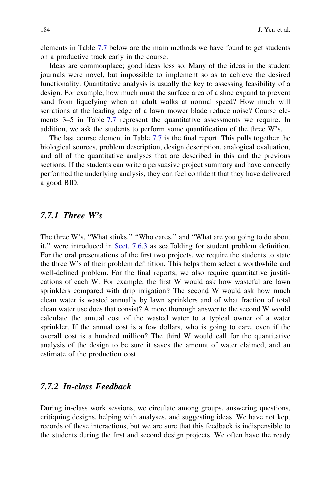elements in Table [7.7](#page-30-0) below are the main methods we have found to get students on a productive track early in the course.

Ideas are commonplace; good ideas less so. Many of the ideas in the student journals were novel, but impossible to implement so as to achieve the desired functionality. Quantitative analysis is usually the key to assessing feasibility of a design. For example, how much must the surface area of a shoe expand to prevent sand from liquefying when an adult walks at normal speed? How much will serrations at the leading edge of a lawn mower blade reduce noise? Course elements 3–5 in Table [7.7](#page-30-0) represent the quantitative assessments we require. In addition, we ask the students to perform some quantification of the three W's.

The last course element in Table [7.7](#page-30-0) is the final report. This pulls together the biological sources, problem description, design description, analogical evaluation, and all of the quantitative analyses that are described in this and the previous sections. If the students can write a persuasive project summary and have correctly performed the underlying analysis, they can feel confident that they have delivered a good BID.

#### 7.7.1 Three W's

The three W's, "What stinks," "Who cares," and "What are you going to do about it,'' were introduced in [Sect. 7.6.3](#page-25-0) as scaffolding for student problem definition. For the oral presentations of the first two projects, we require the students to state the three W's of their problem definition. This helps them select a worthwhile and well-defined problem. For the final reports, we also require quantitative justifications of each W. For example, the first W would ask how wasteful are lawn sprinklers compared with drip irrigation? The second W would ask how much clean water is wasted annually by lawn sprinklers and of what fraction of total clean water use does that consist? A more thorough answer to the second W would calculate the annual cost of the wasted water to a typical owner of a water sprinkler. If the annual cost is a few dollars, who is going to care, even if the overall cost is a hundred million? The third W would call for the quantitative analysis of the design to be sure it saves the amount of water claimed, and an estimate of the production cost.

#### 7.7.2 In-class Feedback

During in-class work sessions, we circulate among groups, answering questions, critiquing designs, helping with analyses, and suggesting ideas. We have not kept records of these interactions, but we are sure that this feedback is indispensible to the students during the first and second design projects. We often have the ready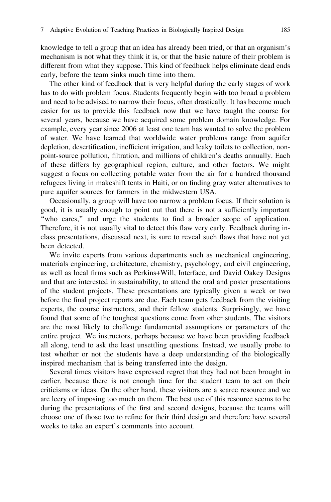knowledge to tell a group that an idea has already been tried, or that an organism's mechanism is not what they think it is, or that the basic nature of their problem is different from what they suppose. This kind of feedback helps eliminate dead ends early, before the team sinks much time into them.

The other kind of feedback that is very helpful during the early stages of work has to do with problem focus. Students frequently begin with too broad a problem and need to be advised to narrow their focus, often drastically. It has become much easier for us to provide this feedback now that we have taught the course for several years, because we have acquired some problem domain knowledge. For example, every year since 2006 at least one team has wanted to solve the problem of water. We have learned that worldwide water problems range from aquifer depletion, desertification, inefficient irrigation, and leaky toilets to collection, nonpoint-source pollution, filtration, and millions of children's deaths annually. Each of these differs by geographical region, culture, and other factors. We might suggest a focus on collecting potable water from the air for a hundred thousand refugees living in makeshift tents in Haiti, or on finding gray water alternatives to pure aquifer sources for farmers in the midwestern USA.

Occasionally, a group will have too narrow a problem focus. If their solution is good, it is usually enough to point out that there is not a sufficiently important ''who cares,'' and urge the students to find a broader scope of application. Therefore, it is not usually vital to detect this flaw very early. Feedback during inclass presentations, discussed next, is sure to reveal such flaws that have not yet been detected.

We invite experts from various departments such as mechanical engineering, materials engineering, architecture, chemistry, psychology, and civil engineering, as well as local firms such as Perkins+Will, Interface, and David Oakey Designs and that are interested in sustainability, to attend the oral and poster presentations of the student projects. These presentations are typically given a week or two before the final project reports are due. Each team gets feedback from the visiting experts, the course instructors, and their fellow students. Surprisingly, we have found that some of the toughest questions come from other students. The visitors are the most likely to challenge fundamental assumptions or parameters of the entire project. We instructors, perhaps because we have been providing feedback all along, tend to ask the least unsettling questions. Instead, we usually probe to test whether or not the students have a deep understanding of the biologically inspired mechanism that is being transferred into the design.

Several times visitors have expressed regret that they had not been brought in earlier, because there is not enough time for the student team to act on their criticisms or ideas. On the other hand, these visitors are a scarce resource and we are leery of imposing too much on them. The best use of this resource seems to be during the presentations of the first and second designs, because the teams will choose one of those two to refine for their third design and therefore have several weeks to take an expert's comments into account.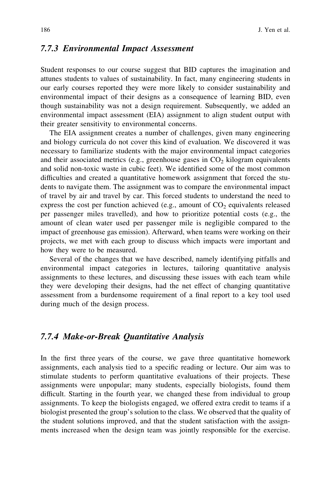## 7.7.3 Environmental Impact Assessment

Student responses to our course suggest that BID captures the imagination and attunes students to values of sustainability. In fact, many engineering students in our early courses reported they were more likely to consider sustainability and environmental impact of their designs as a consequence of learning BID, even though sustainability was not a design requirement. Subsequently, we added an environmental impact assessment (EIA) assignment to align student output with their greater sensitivity to environmental concerns.

The EIA assignment creates a number of challenges, given many engineering and biology curricula do not cover this kind of evaluation. We discovered it was necessary to familiarize students with the major environmental impact categories and their associated metrics (e.g., greenhouse gases in  $CO<sub>2</sub>$  kilogram equivalents and solid non-toxic waste in cubic feet). We identified some of the most common difficulties and created a quantitative homework assignment that forced the students to navigate them. The assignment was to compare the environmental impact of travel by air and travel by car. This forced students to understand the need to express the cost per function achieved (e.g., amount of  $CO<sub>2</sub>$  equivalents released per passenger miles travelled), and how to prioritize potential costs (e.g., the amount of clean water used per passenger mile is negligible compared to the impact of greenhouse gas emission). Afterward, when teams were working on their projects, we met with each group to discuss which impacts were important and how they were to be measured.

Several of the changes that we have described, namely identifying pitfalls and environmental impact categories in lectures, tailoring quantitative analysis assignments to these lectures, and discussing these issues with each team while they were developing their designs, had the net effect of changing quantitative assessment from a burdensome requirement of a final report to a key tool used during much of the design process.

#### 7.7.4 Make-or-Break Quantitative Analysis

In the first three years of the course, we gave three quantitative homework assignments, each analysis tied to a specific reading or lecture. Our aim was to stimulate students to perform quantitative evaluations of their projects. These assignments were unpopular; many students, especially biologists, found them difficult. Starting in the fourth year, we changed these from individual to group assignments. To keep the biologists engaged, we offered extra credit to teams if a biologist presented the group's solution to the class. We observed that the quality of the student solutions improved, and that the student satisfaction with the assignments increased when the design team was jointly responsible for the exercise.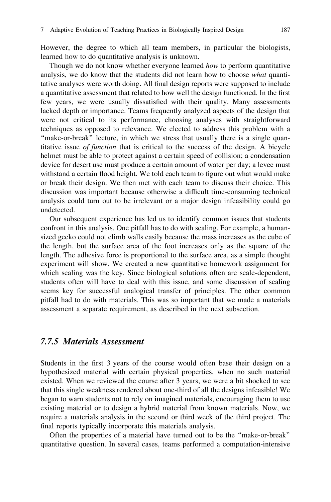However, the degree to which all team members, in particular the biologists, learned how to do quantitative analysis is unknown.

Though we do not know whether everyone learned how to perform quantitative analysis, we do know that the students did not learn how to choose what quantitative analyses were worth doing. All final design reports were supposed to include a quantitative assessment that related to how well the design functioned. In the first few years, we were usually dissatisfied with their quality. Many assessments lacked depth or importance. Teams frequently analyzed aspects of the design that were not critical to its performance, choosing analyses with straightforward techniques as opposed to relevance. We elected to address this problem with a ''make-or-break'' lecture, in which we stress that usually there is a single quantitative issue of function that is critical to the success of the design. A bicycle helmet must be able to protect against a certain speed of collision; a condensation device for desert use must produce a certain amount of water per day; a levee must withstand a certain flood height. We told each team to figure out what would make or break their design. We then met with each team to discuss their choice. This discussion was important because otherwise a difficult time-consuming technical analysis could turn out to be irrelevant or a major design infeasibility could go undetected.

Our subsequent experience has led us to identify common issues that students confront in this analysis. One pitfall has to do with scaling. For example, a humansized gecko could not climb walls easily because the mass increases as the cube of the length, but the surface area of the foot increases only as the square of the length. The adhesive force is proportional to the surface area, as a simple thought experiment will show. We created a new quantitative homework assignment for which scaling was the key. Since biological solutions often are scale-dependent, students often will have to deal with this issue, and some discussion of scaling seems key for successful analogical transfer of principles. The other common pitfall had to do with materials. This was so important that we made a materials assessment a separate requirement, as described in the next subsection.

#### 7.7.5 Materials Assessment

Students in the first 3 years of the course would often base their design on a hypothesized material with certain physical properties, when no such material existed. When we reviewed the course after 3 years, we were a bit shocked to see that this single weakness rendered about one-third of all the designs infeasible! We began to warn students not to rely on imagined materials, encouraging them to use existing material or to design a hybrid material from known materials. Now, we require a materials analysis in the second or third week of the third project. The final reports typically incorporate this materials analysis.

Often the properties of a material have turned out to be the ''make-or-break'' quantitative question. In several cases, teams performed a computation-intensive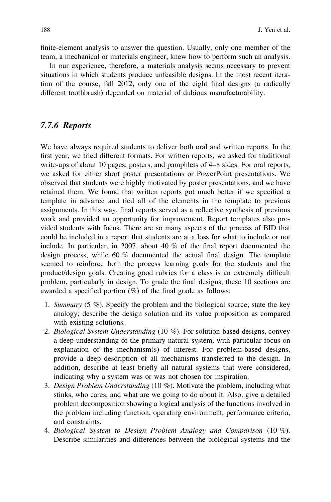finite-element analysis to answer the question. Usually, only one member of the team, a mechanical or materials engineer, knew how to perform such an analysis.

In our experience, therefore, a materials analysis seems necessary to prevent situations in which students produce unfeasible designs. In the most recent iteration of the course, fall 2012, only one of the eight final designs (a radically different toothbrush) depended on material of dubious manufacturability.

## 7.7.6 Reports

We have always required students to deliver both oral and written reports. In the first year, we tried different formats. For written reports, we asked for traditional write-ups of about 10 pages, posters, and pamphlets of 4–8 sides. For oral reports, we asked for either short poster presentations or PowerPoint presentations. We observed that students were highly motivated by poster presentations, and we have retained them. We found that written reports got much better if we specified a template in advance and tied all of the elements in the template to previous assignments. In this way, final reports served as a reflective synthesis of previous work and provided an opportunity for improvement. Report templates also provided students with focus. There are so many aspects of the process of BID that could be included in a report that students are at a loss for what to include or not include. In particular, in 2007, about 40 % of the final report documented the design process, while 60 % documented the actual final design. The template seemed to reinforce both the process learning goals for the students and the product/design goals. Creating good rubrics for a class is an extremely difficult problem, particularly in design. To grade the final designs, these 10 sections are awarded a specified portion (%) of the final grade as follows:

- 1. Summary  $(5\%)$ . Specify the problem and the biological source; state the key analogy; describe the design solution and its value proposition as compared with existing solutions.
- 2. Biological System Understanding (10 %). For solution-based designs, convey a deep understanding of the primary natural system, with particular focus on explanation of the mechanism(s) of interest. For problem-based designs, provide a deep description of all mechanisms transferred to the design. In addition, describe at least briefly all natural systems that were considered, indicating why a system was or was not chosen for inspiration.
- 3. Design Problem Understanding  $(10\%)$ . Motivate the problem, including what stinks, who cares, and what are we going to do about it. Also, give a detailed problem decomposition showing a logical analysis of the functions involved in the problem including function, operating environment, performance criteria, and constraints.
- 4. Biological System to Design Problem Analogy and Comparison (10 %). Describe similarities and differences between the biological systems and the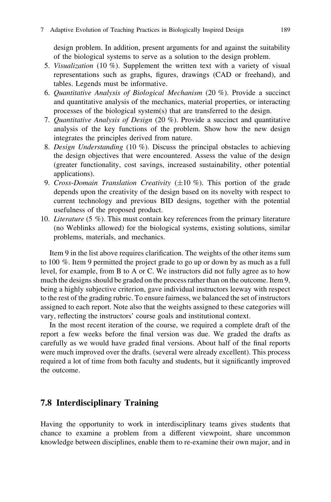design problem. In addition, present arguments for and against the suitability of the biological systems to serve as a solution to the design problem.

- 5. Visualization (10 %). Supplement the written text with a variety of visual representations such as graphs, figures, drawings (CAD or freehand), and tables. Legends must be informative.
- 6. Quantitative Analysis of Biological Mechanism (20 %). Provide a succinct and quantitative analysis of the mechanics, material properties, or interacting processes of the biological system(s) that are transferred to the design.
- 7. Quantitative Analysis of Design (20 %). Provide a succinct and quantitative analysis of the key functions of the problem. Show how the new design integrates the principles derived from nature.
- 8. Design Understanding (10 %). Discuss the principal obstacles to achieving the design objectives that were encountered. Assess the value of the design (greater functionality, cost savings, increased sustainability, other potential applications).
- 9. Cross-Domain Translation Creativity  $(\pm 10 \%)$ . This portion of the grade depends upon the creativity of the design based on its novelty with respect to current technology and previous BID designs, together with the potential usefulness of the proposed product.
- 10. Literature (5 %). This must contain key references from the primary literature (no Weblinks allowed) for the biological systems, existing solutions, similar problems, materials, and mechanics.

Item 9 in the list above requires clarification. The weights of the other items sum to 100 %. Item 9 permitted the project grade to go up or down by as much as a full level, for example, from B to A or C. We instructors did not fully agree as to how much the designs should be graded on the process rather than on the outcome. Item 9, being a highly subjective criterion, gave individual instructors leeway with respect to the rest of the grading rubric. To ensure fairness, we balanced the set of instructors assigned to each report. Note also that the weights assigned to these categories will vary, reflecting the instructors' course goals and institutional context.

In the most recent iteration of the course, we required a complete draft of the report a few weeks before the final version was due. We graded the drafts as carefully as we would have graded final versions. About half of the final reports were much improved over the drafts. (several were already excellent). This process required a lot of time from both faculty and students, but it significantly improved the outcome.

## 7.8 Interdisciplinary Training

Having the opportunity to work in interdisciplinary teams gives students that chance to examine a problem from a different viewpoint, share uncommon knowledge between disciplines, enable them to re-examine their own major, and in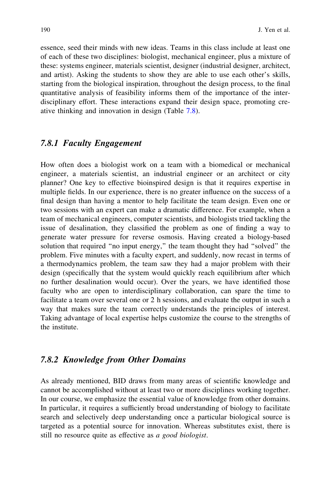essence, seed their minds with new ideas. Teams in this class include at least one of each of these two disciplines: biologist, mechanical engineer, plus a mixture of these: systems engineer, materials scientist, designer (industrial designer, architect, and artist). Asking the students to show they are able to use each other's skills, starting from the biological inspiration, throughout the design process, to the final quantitative analysis of feasibility informs them of the importance of the interdisciplinary effort. These interactions expand their design space, promoting creative thinking and innovation in design (Table [7.8\)](#page-38-0).

# 7.8.1 Faculty Engagement

How often does a biologist work on a team with a biomedical or mechanical engineer, a materials scientist, an industrial engineer or an architect or city planner? One key to effective bioinspired design is that it requires expertise in multiple fields. In our experience, there is no greater influence on the success of a final design than having a mentor to help facilitate the team design. Even one or two sessions with an expert can make a dramatic difference. For example, when a team of mechanical engineers, computer scientists, and biologists tried tackling the issue of desalination, they classified the problem as one of finding a way to generate water pressure for reverse osmosis. Having created a biology-based solution that required "no input energy," the team thought they had "solved" the problem. Five minutes with a faculty expert, and suddenly, now recast in terms of a thermodynamics problem, the team saw they had a major problem with their design (specifically that the system would quickly reach equilibrium after which no further desalination would occur). Over the years, we have identified those faculty who are open to interdisciplinary collaboration, can spare the time to facilitate a team over several one or 2 h sessions, and evaluate the output in such a way that makes sure the team correctly understands the principles of interest. Taking advantage of local expertise helps customize the course to the strengths of the institute.

#### 7.8.2 Knowledge from Other Domains

As already mentioned, BID draws from many areas of scientific knowledge and cannot be accomplished without at least two or more disciplines working together. In our course, we emphasize the essential value of knowledge from other domains. In particular, it requires a sufficiently broad understanding of biology to facilitate search and selectively deep understanding once a particular biological source is targeted as a potential source for innovation. Whereas substitutes exist, there is still no resource quite as effective as *a good biologist*.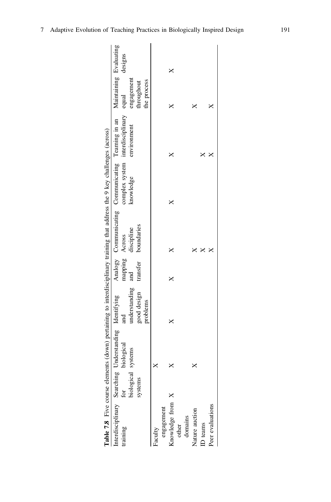<span id="page-38-0"></span>

|                                                       |                    |            |                   |                |            | Table 7.8 Five course elements (down) pertaining to interdisciplinary training that address the 9 key challenges (across) |             |             |         |
|-------------------------------------------------------|--------------------|------------|-------------------|----------------|------------|---------------------------------------------------------------------------------------------------------------------------|-------------|-------------|---------|
| Interdisciplinary Searching Understanding Identifying |                    |            |                   |                |            | Analogy Communicating Communicating Teaming in an Maintaining Evaluating                                                  |             |             |         |
| training                                              | for                | biological | and               | mapping Across |            | complex system interdisciplinary                                                                                          |             | equal       | designs |
|                                                       | biological systems |            | understanding and |                | discipline | knowledge                                                                                                                 | environment | engagement  |         |
|                                                       | systems            |            | good design       | transfer       | boundaries |                                                                                                                           |             | throughout  |         |
|                                                       |                    |            | problems          |                |            |                                                                                                                           |             | the process |         |
| Faculty                                               |                    |            |                   |                |            |                                                                                                                           |             |             |         |
| engagement                                            |                    |            |                   |                |            |                                                                                                                           |             |             |         |
| Knowledge from X                                      |                    |            | ×                 |                |            |                                                                                                                           |             |             | ×       |
| other                                                 |                    |            |                   |                |            |                                                                                                                           |             |             |         |
| domains                                               |                    |            |                   |                |            |                                                                                                                           |             |             |         |
| Nature auction                                        |                    |            |                   |                |            |                                                                                                                           |             |             |         |
| D teams                                               |                    |            |                   |                |            |                                                                                                                           |             |             |         |
| Peer evaluations                                      |                    |            |                   |                |            |                                                                                                                           |             |             |         |
|                                                       |                    |            |                   |                |            |                                                                                                                           |             |             |         |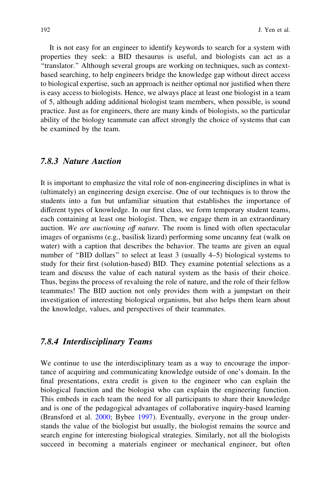It is not easy for an engineer to identify keywords to search for a system with properties they seek: a BID thesaurus is useful, and biologists can act as a ''translator.'' Although several groups are working on techniques, such as contextbased searching, to help engineers bridge the knowledge gap without direct access to biological expertise, such an approach is neither optimal nor justified when there is easy access to biologists. Hence, we always place at least one biologist in a team of 5, although adding additional biologist team members, when possible, is sound practice. Just as for engineers, there are many kinds of biologists, so the particular ability of the biology teammate can affect strongly the choice of systems that can be examined by the team.

#### 7.8.3 Nature Auction

It is important to emphasize the vital role of non-engineering disciplines in what is (ultimately) an engineering design exercise. One of our techniques is to throw the students into a fun but unfamiliar situation that establishes the importance of different types of knowledge. In our first class, we form temporary student teams, each containing at least one biologist. Then, we engage them in an extraordinary auction. We are auctioning off nature. The room is lined with often spectacular images of organisms (e.g., basilisk lizard) performing some uncanny feat (walk on water) with a caption that describes the behavior. The teams are given an equal number of ''BID dollars'' to select at least 3 (usually 4–5) biological systems to study for their first (solution-based) BID. They examine potential selections as a team and discuss the value of each natural system as the basis of their choice. Thus, begins the process of revaluing the role of nature, and the role of their fellow teammates! The BID auction not only provides them with a jumpstart on their investigation of interesting biological organisms, but also helps them learn about the knowledge, values, and perspectives of their teammates.

#### 7.8.4 Interdisciplinary Teams

We continue to use the interdisciplinary team as a way to encourage the importance of acquiring and communicating knowledge outside of one's domain. In the final presentations, extra credit is given to the engineer who can explain the biological function and the biologist who can explain the engineering function. This embeds in each team the need for all participants to share their knowledge and is one of the pedagogical advantages of collaborative inquiry-based learning (Bransford et al. [2000](#page-43-0); Bybee [1997\)](#page-43-0). Eventually, everyone in the group understands the value of the biologist but usually, the biologist remains the source and search engine for interesting biological strategies. Similarly, not all the biologists succeed in becoming a materials engineer or mechanical engineer, but often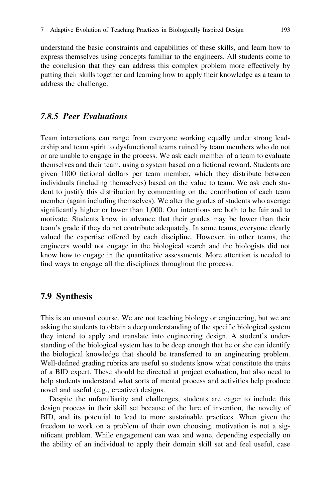understand the basic constraints and capabilities of these skills, and learn how to express themselves using concepts familiar to the engineers. All students come to the conclusion that they can address this complex problem more effectively by putting their skills together and learning how to apply their knowledge as a team to address the challenge.

#### 7.8.5 Peer Evaluations

Team interactions can range from everyone working equally under strong leadership and team spirit to dysfunctional teams ruined by team members who do not or are unable to engage in the process. We ask each member of a team to evaluate themselves and their team, using a system based on a fictional reward. Students are given 1000 fictional dollars per team member, which they distribute between individuals (including themselves) based on the value to team. We ask each student to justify this distribution by commenting on the contribution of each team member (again including themselves). We alter the grades of students who average significantly higher or lower than 1,000. Our intentions are both to be fair and to motivate. Students know in advance that their grades may be lower than their team's grade if they do not contribute adequately. In some teams, everyone clearly valued the expertise offered by each discipline. However, in other teams, the engineers would not engage in the biological search and the biologists did not know how to engage in the quantitative assessments. More attention is needed to find ways to engage all the disciplines throughout the process.

#### 7.9 Synthesis

This is an unusual course. We are not teaching biology or engineering, but we are asking the students to obtain a deep understanding of the specific biological system they intend to apply and translate into engineering design. A student's understanding of the biological system has to be deep enough that he or she can identify the biological knowledge that should be transferred to an engineering problem. Well-defined grading rubrics are useful so students know what constitute the traits of a BID expert. These should be directed at project evaluation, but also need to help students understand what sorts of mental process and activities help produce novel and useful (e.g., creative) designs.

Despite the unfamiliarity and challenges, students are eager to include this design process in their skill set because of the lure of invention, the novelty of BID, and its potential to lead to more sustainable practices. When given the freedom to work on a problem of their own choosing, motivation is not a significant problem. While engagement can wax and wane, depending especially on the ability of an individual to apply their domain skill set and feel useful, case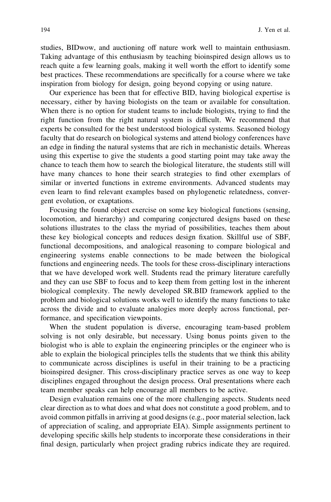studies, BIDwow, and auctioning off nature work well to maintain enthusiasm. Taking advantage of this enthusiasm by teaching bioinspired design allows us to reach quite a few learning goals, making it well worth the effort to identify some best practices. These recommendations are specifically for a course where we take inspiration from biology for design, going beyond copying or using nature.

Our experience has been that for effective BID, having biological expertise is necessary, either by having biologists on the team or available for consultation. When there is no option for student teams to include biologists, trying to find the right function from the right natural system is difficult. We recommend that experts be consulted for the best understood biological systems. Seasoned biology faculty that do research on biological systems and attend biology conferences have an edge in finding the natural systems that are rich in mechanistic details. Whereas using this expertise to give the students a good starting point may take away the chance to teach them how to search the biological literature, the students still will have many chances to hone their search strategies to find other exemplars of similar or inverted functions in extreme environments. Advanced students may even learn to find relevant examples based on phylogenetic relatedness, convergent evolution, or exaptations.

Focusing the found object exercise on some key biological functions (sensing, locomotion, and hierarchy) and comparing conjectured designs based on these solutions illustrates to the class the myriad of possibilities, teaches them about these key biological concepts and reduces design fixation. Skillful use of SBF, functional decompositions, and analogical reasoning to compare biological and engineering systems enable connections to be made between the biological functions and engineering needs. The tools for these cross-disciplinary interactions that we have developed work well. Students read the primary literature carefully and they can use SBF to focus and to keep them from getting lost in the inherent biological complexity. The newly developed SR.BID framework applied to the problem and biological solutions works well to identify the many functions to take across the divide and to evaluate analogies more deeply across functional, performance, and specification viewpoints.

When the student population is diverse, encouraging team-based problem solving is not only desirable, but necessary. Using bonus points given to the biologist who is able to explain the engineering principles or the engineer who is able to explain the biological principles tells the students that we think this ability to communicate across disciplines is useful in their training to be a practicing bioinspired designer. This cross-disciplinary practice serves as one way to keep disciplines engaged throughout the design process. Oral presentations where each team member speaks can help encourage all members to be active.

Design evaluation remains one of the more challenging aspects. Students need clear direction as to what does and what does not constitute a good problem, and to avoid common pitfalls in arriving at good designs (e.g., poor material selection, lack of appreciation of scaling, and appropriate EIA). Simple assignments pertinent to developing specific skills help students to incorporate these considerations in their final design, particularly when project grading rubrics indicate they are required.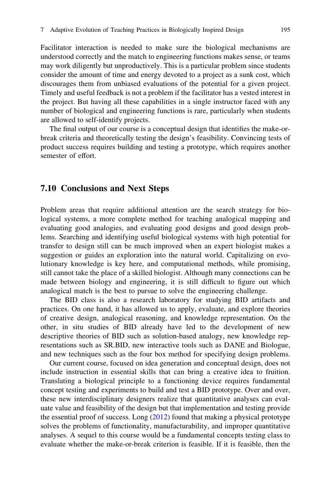Facilitator interaction is needed to make sure the biological mechanisms are understood correctly and the match to engineering functions makes sense, or teams may work diligently but unproductively. This is a particular problem since students consider the amount of time and energy devoted to a project as a sunk cost, which discourages them from unbiased evaluations of the potential for a given project. Timely and useful feedback is not a problem if the facilitator has a vested interest in the project. But having all these capabilities in a single instructor faced with any number of biological and engineering functions is rare, particularly when students are allowed to self-identify projects.

The final output of our course is a conceptual design that identifies the make-orbreak criteria and theoretically testing the design's feasibility. Convincing tests of product success requires building and testing a prototype, which requires another semester of effort.

## 7.10 Conclusions and Next Steps

Problem areas that require additional attention are the search strategy for biological systems, a more complete method for teaching analogical mapping and evaluating good analogies, and evaluating good designs and good design problems. Searching and identifying useful biological systems with high potential for transfer to design still can be much improved when an expert biologist makes a suggestion or guides an exploration into the natural world. Capitalizing on evolutionary knowledge is key here, and computational methods, while promising, still cannot take the place of a skilled biologist. Although many connections can be made between biology and engineering, it is still difficult to figure out which analogical match is the best to pursue to solve the engineering challenge.

The BID class is also a research laboratory for studying BID artifacts and practices. On one hand, it has allowed us to apply, evaluate, and explore theories of creative design, analogical reasoning, and knowledge representation. On the other, in situ studies of BID already have led to the development of new descriptive theories of BID such as solution-based analogy, new knowledge representations such as SR.BID, new interactive tools such as DANE and Biologue, and new techniques such as the four box method for specifying design problems.

Our current course, focused on idea generation and conceptual design, does not include instruction in essential skills that can bring a creative idea to fruition. Translating a biological principle to a functioning device requires fundamental concept testing and experiments to build and test a BID prototype. Over and over, these new interdisciplinary designers realize that quantitative analyses can evaluate value and feasibility of the design but that implementation and testing provide the essential proof of success. Long ([2012\)](#page-44-0) found that making a physical prototype solves the problems of functionality, manufacturability, and improper quantitative analyses. A sequel to this course would be a fundamental concepts testing class to evaluate whether the make-or-break criterion is feasible. If it is feasible, then the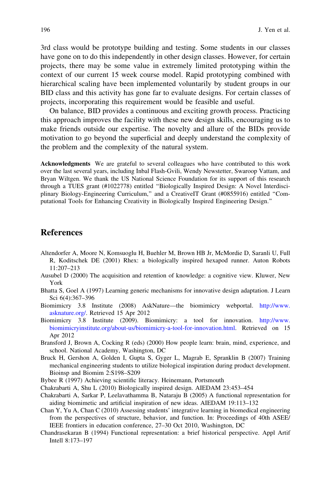<span id="page-43-0"></span>3rd class would be prototype building and testing. Some students in our classes have gone on to do this independently in other design classes. However, for certain projects, there may be some value in extremely limited prototyping within the context of our current 15 week course model. Rapid prototyping combined with hierarchical scaling have been implemented voluntarily by student groups in our BID class and this activity has gone far to evaluate designs. For certain classes of projects, incorporating this requirement would be feasible and useful.

On balance, BID provides a continuous and exciting growth process. Practicing this approach improves the facility with these new design skills, encouraging us to make friends outside our expertise. The novelty and allure of the BIDs provide motivation to go beyond the superficial and deeply understand the complexity of the problem and the complexity of the natural system.

Acknowledgments We are grateful to several colleagues who have contributed to this work over the last several years, including Inbal Flash-Gvili, Wendy Newstetter, Swaroop Vattam, and Bryan Wiltgen. We thank the US National Science Foundation for its support of this research through a TUES grant (#1022778) entitled ''Biologically Inspired Design: A Novel Interdisciplinary Biology-Engineering Curriculum,'' and a CreativeIT Grant (#0855916) entitled ''Computational Tools for Enhancing Creativity in Biologically Inspired Engineering Design.''

### References

- Altendorfer A, Moore N, Komsuoglu H, Buehler M, Brown HB Jr, McMordie D, Saranli U, Full R, Koditschek DE (2001) Rhex: a biologically inspired hexapod runner. Auton Robots 11:207–213
- Ausubel D (2000) The acquisition and retention of knowledge: a cognitive view. Kluwer, New York
- Bhatta S, Goel A (1997) Learning generic mechanisms for innovative design adaptation. J Learn Sci 6(4):367–396
- Biomimicry 3.8 Institute (2008) AskNature—the biomimicry webportal. [http://www.](http://www.asknature.org/) [asknature.org/](http://www.asknature.org/). Retrieved 15 Apr 2012
- Biomimicry 3.8 Institute (2009). Biomimicry: a tool for innovation. [http://www.](http://www.biomimicryinstitute.org/about-us/biomimicry-a-tool-for-innovation.html) [biomimicryinstitute.org/about-us/biomimicry-a-tool-for-innovation.html](http://www.biomimicryinstitute.org/about-us/biomimicry-a-tool-for-innovation.html). Retrieved on 15 Apr 2012
- Bransford J, Brown A, Cocking R (eds) (2000) How people learn: brain, mind, experience, and school. National Academy, Washington, DC
- Bruck H, Gershon A, Golden I, Gupta S, Gyger L, Magrab E, Spranklin B (2007) Training mechanical engineering students to utilize biological inspiration during product development. Bioinsp and Biomim 2:S198–S209
- Bybee R (1997) Achieving scientific literacy. Heinemann, Portsmouth
- Chakrabarti A, Shu L (2010) Biologically inspired design. AIEDAM 23:453–454
- Chakrabarti A, Sarkar P, Leelavathamma B, Nataraju B (2005) A functional representation for aiding biomimetic and artificial inspiration of new ideas. AIEDAM 19:113–132
- Chan Y, Yu A, Chan C (2010) Assessing students' integrative learning in biomedical engineering from the perspectives of structure, behavior, and function. In: Proceedings of 40th ASEE/ IEEE frontiers in education conference, 27–30 Oct 2010, Washington, DC
- Chandrasekaran B (1994) Functional representation: a brief historical perspective. Appl Artif Intell 8:173–197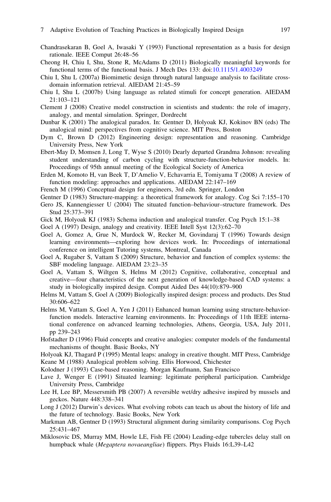- <span id="page-44-0"></span>Chandrasekaran B, Goel A, Iwasaki Y (1993) Functional representation as a basis for design rationale. IEEE Comput 26:48–56
- Cheong H, Chiu I, Shu, Stone R, McAdams D (2011) Biologically meaningful keywords for functional terms of the functional basis. J Mech Des 133: doi[:10.1115/1.4003249](http://dx.doi.org/10.1115/1.4003249)
- Chiu I, Shu L (2007a) Biomimetic design through natural language analysis to facilitate crossdomain information retrieval. AIEDAM 21:45–59
- Chiu I, Shu L (2007b) Using language as related stimuli for concept generation. AIEDAM 21:103–121
- Clement J (2008) Creative model construction in scientists and students: the role of imagery, analogy, and mental simulation. Springer, Dordrecht
- Dunbar K (2001) The analogical paradox. In: Gentner D, Holyoak KJ, Kokinov BN (eds) The analogical mind: perspectives from cognitive science. MIT Press, Boston
- Dym C, Brown D (2012) Engineering design: representation and reasoning. Cambridge University Press, New York
- Ebert-May D, Momsen J, Long T, Wyse S (2010) Dearly departed Grandma Johnson: revealing student understanding of carbon cycling with structure-function-behavior models. In: Proceedings of 95th annual meeting of the Ecological Society of America
- Erden M, Komoto H, van Beek T, D'Amelio V, Echavarria E, Tomiyama T (2008) A review of function modeling: approaches and applications. AIEDAM 22:147–169
- French M (1996) Conceptual design for engineers, 3rd edn. Springer, London
- Gentner D (1983) Structure-mapping: a theoretical framework for analogy. Cog Sci 7:155–170
- Gero JS, Kannengiesser U (2004) The situated function–behaviour–structure framework. Des Stud 25:373–391
- Gick M, Holyoak KJ (1983) Schema induction and analogical transfer. Cog Psych 15:1–38
- Goel A (1997) Design, analogy and creativity. IEEE Intell Syst 12(3):62–70
- Goel A, Gomez A, Grue N, Murdock W, Recker M, Govindaraj T (1996) Towards design learning environments—exploring how devices work. In: Proceedings of international conference on intelligent Tutoring systems, Montreal, Canada
- Goel A, Rugaber S, Vattam S (2009) Structure, behavior and function of complex systems: the SBF modeling language. AIEDAM 23:23–35
- Goel A, Vattam S, Wiltgen S, Helms M (2012) Cognitive, collaborative, conceptual and creative—four characteristics of the next generation of knowledge-based CAD systems: a study in biologically inspired design. Comput Aided Des 44(10):879–900
- Helms M, Vattam S, Goel A (2009) Biologically inspired design: process and products. Des Stud 30:606–622
- Helms M, Vattam S, Goel A, Yen J (2011) Enhanced human learning using structure-behaviorfunction models. Interactive learning environments. In: Proceedings of 11th IEEE international conference on advanced learning technologies, Athens, Georgia, USA, July 2011, pp 239–243
- Hofstadter D (1996) Fluid concepts and creative analogies: computer models of the fundamental mechanisms of thought. Basic Books, NY
- Holyoak KJ, Thagard P (1995) Mental leaps: analogy in creative thought. MIT Press, Cambridge Keane M (1988) Analogical problem solving. Ellis Horwood, Chichester
- Kolodner J (1993) Case-based reasoning. Morgan Kaufmann, San Francisco
- Lave J, Wenger E (1991) Situated learning: legitimate peripheral participation. Cambridge University Press, Cambridge
- Lee H, Lee BP, Messersmith PB (2007) A reversible wet/dry adhesive inspired by mussels and geckos. Nature 448:338–341
- Long J (2012) Darwin's devices. What evolving robots can teach us about the history of life and the future of technology. Basic Books, New York
- Markman AB, Gentner D (1993) Structural alignment during similarity comparisons. Cog Psych 25:431–467
- Miklosovic DS, Murray MM, Howle LE, Fish FE (2004) Leading-edge tubercles delay stall on humpback whale (Megaptera novaeangliae) flippers. Phys Fluids 16:L39–L42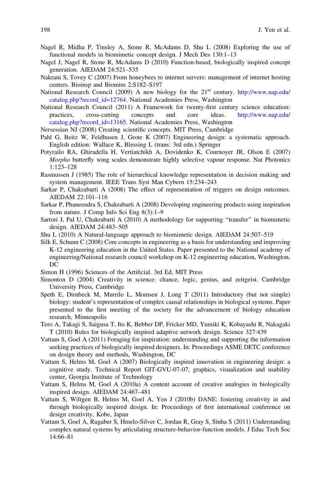- <span id="page-45-0"></span>Nagel R, Midha P, Tinsley A, Stone R, McAdams D, Shu L (2008) Exploring the use of functional models in biomimetic concept design. J Mech Des 130:1–13
- Nagel J, Nagel R, Stone R, McAdams D (2010) Function-based, biologically inspired concept generation. AIEDAM 24:521–535
- Nakrani S, Tovey C (2007) From honeybees to internet servers: management of internet hosting centers. Bioinsp and Biomim 2:S182–S197
- National Research Council (2009) A new biology for the  $21<sup>st</sup>$  century. [http://www.nap.edu/](http://www.nap.edu/catalog.php?record_id=12764) [catalog.php?record\\_id=12764](http://www.nap.edu/catalog.php?record_id=12764). National Academies Press, Washington
- National Research Council (2011) A Framework for twenty-first century science education: practices, cross-cutting concepts and core ideas. [http://www.nap.edu/](http://www.nap.edu/catalog.php?record_id=13165) [catalog.php?record\\_id=13165](http://www.nap.edu/catalog.php?record_id=13165). National Academies Press, Washington
- Nersessian NJ (2008) Creating scientific concepts. MIT Press, Cambridge
- Pahl G, Beitz W, Feldhusen J, Grote K (2007) Engineering design: a systematic approach. English edition: Wallace K, Blessing L (trans: 3rd edn.) Springer
- Potyrailo RA, Ghiradella H, Vertiatchikh A, Dovidenko K, Cournoyer JR, Olson E (2007) Morpho butterfly wing scales demonstrate highly selective vapour response. Nat Photonics 1:123–128
- Rasmussen J (1985) The role of hierarchical knowledge representation in decision making and system management. IEEE Trans Syst Man Cybern 15:234–243
- Sarkar P, Chakrabarti A (2008) The effect of representation of triggers on design outcomes. AIEDAM 22:101–116
- Sarkar P, Phaneendra S, Chakrabarti A (2008) Developing engineering products using inspiration from nature. J Comp Info Sci Eng 8(3):1–9
- Sartori J, Pal U, Chakrabarti A (2010) A methodology for supporting ''transfer'' in biomimetic design. AIEDAM 24:483–505
- Shu L (2010) A Natural-language approach to biomimetic design. AIEDAM 24:507–519
- Silk E, Schunn C (2008) Core concepts in engineering as a basis for understanding and improving K-12 engineering education in the United States. Paper presented to the National academy of engineering/National research council workshop on K-12 engineering education, Washington, DC
- Simon H (1996) Sciences of the Artificial. 3rd Ed, MIT Press
- Simonton D (2004) Creativity in science: chance, logic, genius, and zeitgeist. Cambridge University Press, Cambridge
- Speth E, Dirnbeck M, Murrilo L, Momsen J, Long T (2011) Introductory (but not simple) biology: student's representation of complex causal relationships in biological systems. Paper presented to the first meeting of the society for the advancement of biology education research, Minneapolis
- Tero A, Takagi S, Saigusa T, Ito K, Bebber DP, Fricker MD, Yumiki K, Kobayashi R, Nakagaki T (2010) Rules for biologically inspired adaptive network design. Science 327:439
- Vattam S, Goel A (2011) Foraging for inspiration: understanding and supporting the information seeking practices of biologically inspired designers. In: Proceedings ASME DETC conference on design theory and methods, Washington, DC
- Vattam S, Helms M, Goel A (2007) Biologically inspired innovation in engineering design: a cognitive study. Technical Report GIT-GVU-07-07, graphics, visualization and usability center, Georgia Institute of Technology
- Vattam S, Helms M, Goel A (2010a) A content account of creative analogies in biologically inspired design. AIEDAM 24:467–481
- Vattam S, Wiltgen B, Helms M, Goel A, Yen J (2010b) DANE: fostering creativity in and through biologically inspired design. In: Proceedings of first international conference on design creativity, Kobe, Japan
- Vattam S, Goel A, Rugaber S, Hmelo-Silver C, Jordan R, Gray S, Sinha S (2011) Understanding complex natural systems by articulating structure-behavior-function models. J Educ Tech Soc 14:66–81